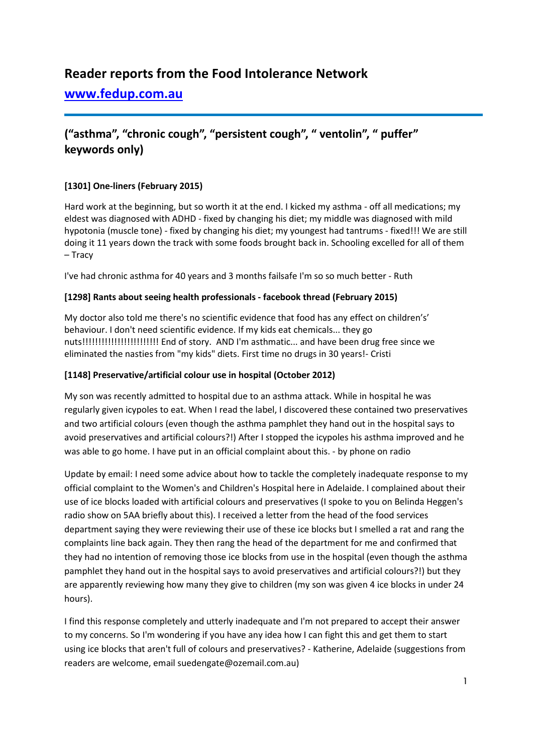# **Reader reports from the Food Intolerance Network**

**[www.fedup.com.au](http://www.fedup.com.au/)**

# **("asthma", "chronic cough", "persistent cough", " ventolin", " puffer" keywords only)**

#### **[1301] One-liners (February 2015)**

Hard work at the beginning, but so worth it at the end. I kicked my asthma - off all medications; my eldest was diagnosed with ADHD - fixed by changing his diet; my middle was diagnosed with mild hypotonia (muscle tone) - fixed by changing his diet; my youngest had tantrums - fixed!!! We are still doing it 11 years down the track with some foods brought back in. Schooling excelled for all of them – Tracy

I've had chronic asthma for 40 years and 3 months failsafe I'm so so much better - Ruth

#### **[1298] Rants about seeing health professionals - facebook thread (February 2015)**

My doctor also told me there's no scientific evidence that food has any effect on children's' behaviour. I don't need scientific evidence. If my kids eat chemicals... they go nuts!!!!!!!!!!!!!!!!!!!!!!!! End of story. AND I'm asthmatic... and have been drug free since we eliminated the nasties from "my kids" diets. First time no drugs in 30 years!- Cristi

#### **[1148] Preservative/artificial colour use in hospital (October 2012)**

My son was recently admitted to hospital due to an asthma attack. While in hospital he was regularly given icypoles to eat. When I read the label, I discovered these contained two preservatives and two artificial colours (even though the asthma pamphlet they hand out in the hospital says to avoid preservatives and artificial colours?!) After I stopped the icypoles his asthma improved and he was able to go home. I have put in an official complaint about this. - by phone on radio

Update by email: I need some advice about how to tackle the completely inadequate response to my official complaint to the Women's and Children's Hospital here in Adelaide. I complained about their use of ice blocks loaded with artificial colours and preservatives (I spoke to you on Belinda Heggen's radio show on 5AA briefly about this). I received a letter from the head of the food services department saying they were reviewing their use of these ice blocks but I smelled a rat and rang the complaints line back again. They then rang the head of the department for me and confirmed that they had no intention of removing those ice blocks from use in the hospital (even though the asthma pamphlet they hand out in the hospital says to avoid preservatives and artificial colours?!) but they are apparently reviewing how many they give to children (my son was given 4 ice blocks in under 24 hours).

I find this response completely and utterly inadequate and I'm not prepared to accept their answer to my concerns. So I'm wondering if you have any idea how I can fight this and get them to start using ice blocks that aren't full of colours and preservatives? - Katherine, Adelaide (suggestions from readers are welcome, email suedengate@ozemail.com.au)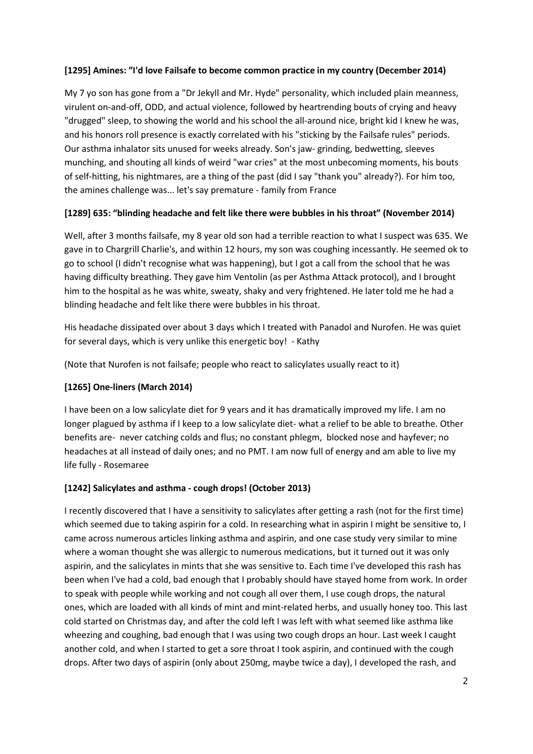#### **[1295] Amines: "I'd love Failsafe to become common practice in my country (December 2014)**

My 7 yo son has gone from a "Dr Jekyll and Mr. Hyde" personality, which included plain meanness, virulent on-and-off, ODD, and actual violence, followed by heartrending bouts of crying and heavy "drugged" sleep, to showing the world and his school the all-around nice, bright kid I knew he was, and his honors roll presence is exactly correlated with his "sticking by the Failsafe rules" periods. Our asthma inhalator sits unused for weeks already. Son's jaw- grinding, bedwetting, sleeves munching, and shouting all kinds of weird "war cries" at the most unbecoming moments, his bouts of self-hitting, his nightmares, are a thing of the past (did I say "thank you" already?). For him too, the amines challenge was... let's say premature - family from France

#### **[1289] 635: "blinding headache and felt like there were bubbles in his throat" (November 2014)**

Well, after 3 months failsafe, my 8 year old son had a terrible reaction to what I suspect was 635. We gave in to Chargrill Charlie's, and within 12 hours, my son was coughing incessantly. He seemed ok to go to school (I didn't recognise what was happening), but I got a call from the school that he was having difficulty breathing. They gave him Ventolin (as per Asthma Attack protocol), and I brought him to the hospital as he was white, sweaty, shaky and very frightened. He later told me he had a blinding headache and felt like there were bubbles in his throat.

His headache dissipated over about 3 days which I treated with Panadol and Nurofen. He was quiet for several days, which is very unlike this energetic boy! - Kathy

(Note that Nurofen is not failsafe; people who react to salicylates usually react to it)

## **[1265] One-liners (March 2014)**

I have been on a low salicylate diet for 9 years and it has dramatically improved my life. I am no longer plagued by asthma if I keep to a low salicylate diet- what a relief to be able to breathe. Other benefits are- never catching colds and flus; no constant phlegm, blocked nose and hayfever; no headaches at all instead of daily ones; and no PMT. I am now full of energy and am able to live my life fully - Rosemaree

#### **[1242] Salicylates and asthma - cough drops! (October 2013)**

I recently discovered that I have a sensitivity to salicylates after getting a rash (not for the first time) which seemed due to taking aspirin for a cold. In researching what in aspirin I might be sensitive to, I came across numerous articles linking asthma and aspirin, and one case study very similar to mine where a woman thought she was allergic to numerous medications, but it turned out it was only aspirin, and the salicylates in mints that she was sensitive to. Each time I've developed this rash has been when I've had a cold, bad enough that I probably should have stayed home from work. In order to speak with people while working and not cough all over them, I use cough drops, the natural ones, which are loaded with all kinds of mint and mint-related herbs, and usually honey too. This last cold started on Christmas day, and after the cold left I was left with what seemed like asthma like wheezing and coughing, bad enough that I was using two cough drops an hour. Last week I caught another cold, and when I started to get a sore throat I took aspirin, and continued with the cough drops. After two days of aspirin (only about 250mg, maybe twice a day), I developed the rash, and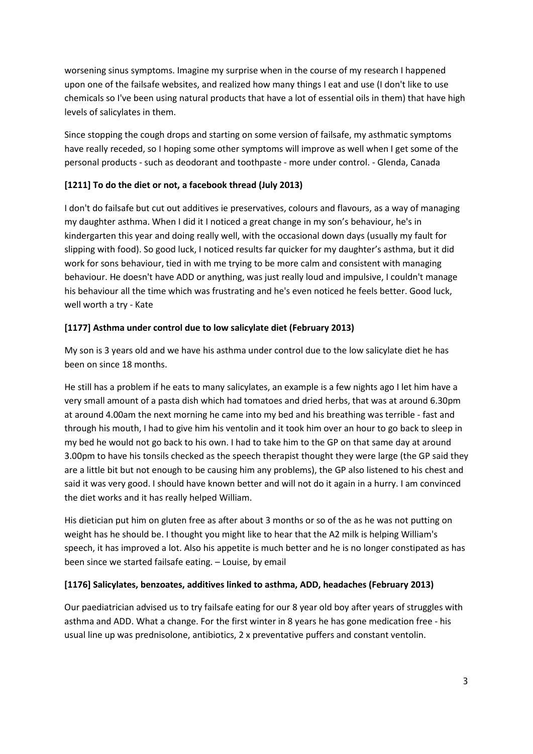worsening sinus symptoms. Imagine my surprise when in the course of my research I happened upon one of the failsafe websites, and realized how many things I eat and use (I don't like to use chemicals so I've been using natural products that have a lot of essential oils in them) that have high levels of salicylates in them.

Since stopping the cough drops and starting on some version of failsafe, my asthmatic symptoms have really receded, so I hoping some other symptoms will improve as well when I get some of the personal products - such as deodorant and toothpaste - more under control. - Glenda, Canada

### **[1211] To do the diet or not, a facebook thread (July 2013)**

I don't do failsafe but cut out additives ie preservatives, colours and flavours, as a way of managing my daughter asthma. When I did it I noticed a great change in my son's behaviour, he's in kindergarten this year and doing really well, with the occasional down days (usually my fault for slipping with food). So good luck, I noticed results far quicker for my daughter's asthma, but it did work for sons behaviour, tied in with me trying to be more calm and consistent with managing behaviour. He doesn't have ADD or anything, was just really loud and impulsive, I couldn't manage his behaviour all the time which was frustrating and he's even noticed he feels better. Good luck, well worth a try - Kate

#### **[1177] Asthma under control due to low salicylate diet (February 2013)**

My son is 3 years old and we have his asthma under control due to the low salicylate diet he has been on since 18 months.

He still has a problem if he eats to many salicylates, an example is a few nights ago I let him have a very small amount of a pasta dish which had tomatoes and dried herbs, that was at around 6.30pm at around 4.00am the next morning he came into my bed and his breathing was terrible - fast and through his mouth, I had to give him his ventolin and it took him over an hour to go back to sleep in my bed he would not go back to his own. I had to take him to the GP on that same day at around 3.00pm to have his tonsils checked as the speech therapist thought they were large (the GP said they are a little bit but not enough to be causing him any problems), the GP also listened to his chest and said it was very good. I should have known better and will not do it again in a hurry. I am convinced the diet works and it has really helped William.

His dietician put him on gluten free as after about 3 months or so of the as he was not putting on weight has he should be. I thought you might like to hear that the A2 milk is helping William's speech, it has improved a lot. Also his appetite is much better and he is no longer constipated as has been since we started failsafe eating. – Louise, by email

#### **[1176] Salicylates, benzoates, additives linked to asthma, ADD, headaches (February 2013)**

Our paediatrician advised us to try failsafe eating for our 8 year old boy after years of struggles with asthma and ADD. What a change. For the first winter in 8 years he has gone medication free - his usual line up was prednisolone, antibiotics, 2 x preventative puffers and constant ventolin.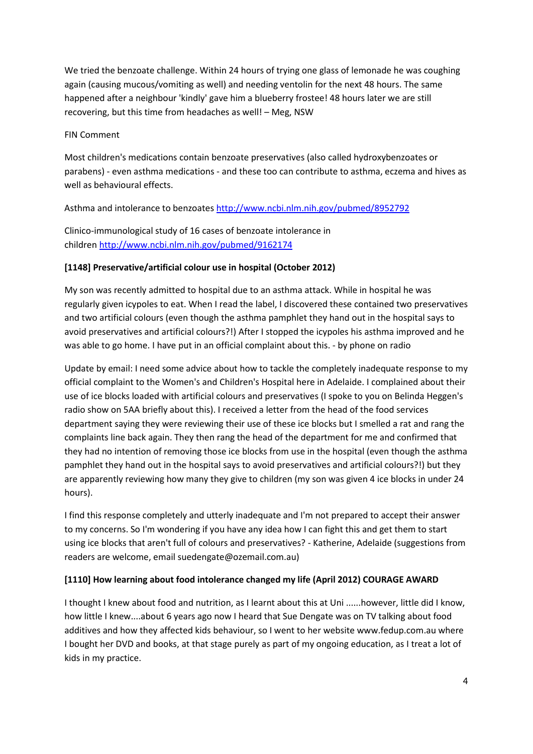We tried the benzoate challenge. Within 24 hours of trying one glass of lemonade he was coughing again (causing mucous/vomiting as well) and needing ventolin for the next 48 hours. The same happened after a neighbour 'kindly' gave him a blueberry frostee! 48 hours later we are still recovering, but this time from headaches as well! – Meg, NSW

#### FIN Comment

Most children's medications contain benzoate preservatives (also called hydroxybenzoates or parabens) - even asthma medications - and these too can contribute to asthma, eczema and hives as well as behavioural effects.

Asthma and intolerance to benzoates <http://www.ncbi.nlm.nih.gov/pubmed/8952792>

Clinico-immunological study of 16 cases of benzoate intolerance in children <http://www.ncbi.nlm.nih.gov/pubmed/9162174>

#### **[1148] Preservative/artificial colour use in hospital (October 2012)**

My son was recently admitted to hospital due to an asthma attack. While in hospital he was regularly given icypoles to eat. When I read the label, I discovered these contained two preservatives and two artificial colours (even though the asthma pamphlet they hand out in the hospital says to avoid preservatives and artificial colours?!) After I stopped the icypoles his asthma improved and he was able to go home. I have put in an official complaint about this. - by phone on radio

Update by email: I need some advice about how to tackle the completely inadequate response to my official complaint to the Women's and Children's Hospital here in Adelaide. I complained about their use of ice blocks loaded with artificial colours and preservatives (I spoke to you on Belinda Heggen's radio show on 5AA briefly about this). I received a letter from the head of the food services department saying they were reviewing their use of these ice blocks but I smelled a rat and rang the complaints line back again. They then rang the head of the department for me and confirmed that they had no intention of removing those ice blocks from use in the hospital (even though the asthma pamphlet they hand out in the hospital says to avoid preservatives and artificial colours?!) but they are apparently reviewing how many they give to children (my son was given 4 ice blocks in under 24 hours).

I find this response completely and utterly inadequate and I'm not prepared to accept their answer to my concerns. So I'm wondering if you have any idea how I can fight this and get them to start using ice blocks that aren't full of colours and preservatives? - Katherine, Adelaide (suggestions from readers are welcome, email suedengate@ozemail.com.au)

#### **[1110] How learning about food intolerance changed my life (April 2012) COURAGE AWARD**

I thought I knew about food and nutrition, as I learnt about this at Uni ......however, little did I know, how little I knew....about 6 years ago now I heard that Sue Dengate was on TV talking about food additives and how they affected kids behaviour, so I went to her website www.fedup.com.au where I bought her DVD and books, at that stage purely as part of my ongoing education, as I treat a lot of kids in my practice.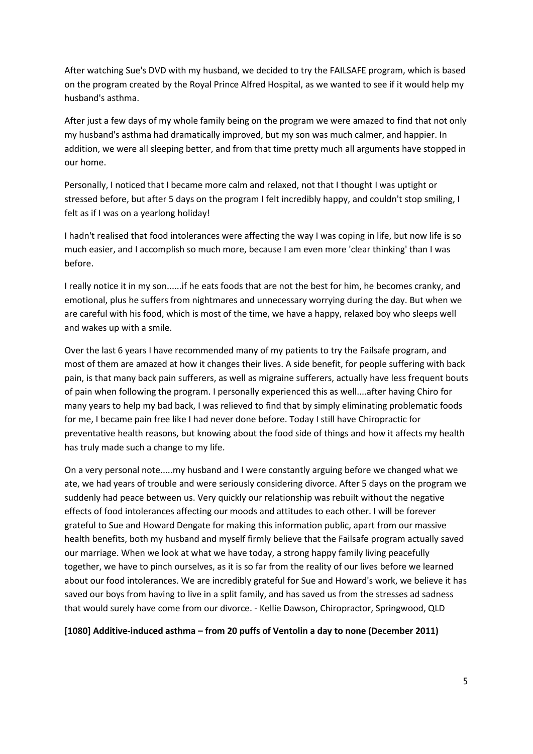After watching Sue's DVD with my husband, we decided to try the FAILSAFE program, which is based on the program created by the Royal Prince Alfred Hospital, as we wanted to see if it would help my husband's asthma.

After just a few days of my whole family being on the program we were amazed to find that not only my husband's asthma had dramatically improved, but my son was much calmer, and happier. In addition, we were all sleeping better, and from that time pretty much all arguments have stopped in our home.

Personally, I noticed that I became more calm and relaxed, not that I thought I was uptight or stressed before, but after 5 days on the program I felt incredibly happy, and couldn't stop smiling, I felt as if I was on a yearlong holiday!

I hadn't realised that food intolerances were affecting the way I was coping in life, but now life is so much easier, and I accomplish so much more, because I am even more 'clear thinking' than I was before.

I really notice it in my son......if he eats foods that are not the best for him, he becomes cranky, and emotional, plus he suffers from nightmares and unnecessary worrying during the day. But when we are careful with his food, which is most of the time, we have a happy, relaxed boy who sleeps well and wakes up with a smile.

Over the last 6 years I have recommended many of my patients to try the Failsafe program, and most of them are amazed at how it changes their lives. A side benefit, for people suffering with back pain, is that many back pain sufferers, as well as migraine sufferers, actually have less frequent bouts of pain when following the program. I personally experienced this as well....after having Chiro for many years to help my bad back, I was relieved to find that by simply eliminating problematic foods for me, I became pain free like I had never done before. Today I still have Chiropractic for preventative health reasons, but knowing about the food side of things and how it affects my health has truly made such a change to my life.

On a very personal note.....my husband and I were constantly arguing before we changed what we ate, we had years of trouble and were seriously considering divorce. After 5 days on the program we suddenly had peace between us. Very quickly our relationship was rebuilt without the negative effects of food intolerances affecting our moods and attitudes to each other. I will be forever grateful to Sue and Howard Dengate for making this information public, apart from our massive health benefits, both my husband and myself firmly believe that the Failsafe program actually saved our marriage. When we look at what we have today, a strong happy family living peacefully together, we have to pinch ourselves, as it is so far from the reality of our lives before we learned about our food intolerances. We are incredibly grateful for Sue and Howard's work, we believe it has saved our boys from having to live in a split family, and has saved us from the stresses ad sadness that would surely have come from our divorce. - Kellie Dawson, Chiropractor, Springwood, QLD

**[1080] Additive-induced asthma – from 20 puffs of Ventolin a day to none (December 2011)**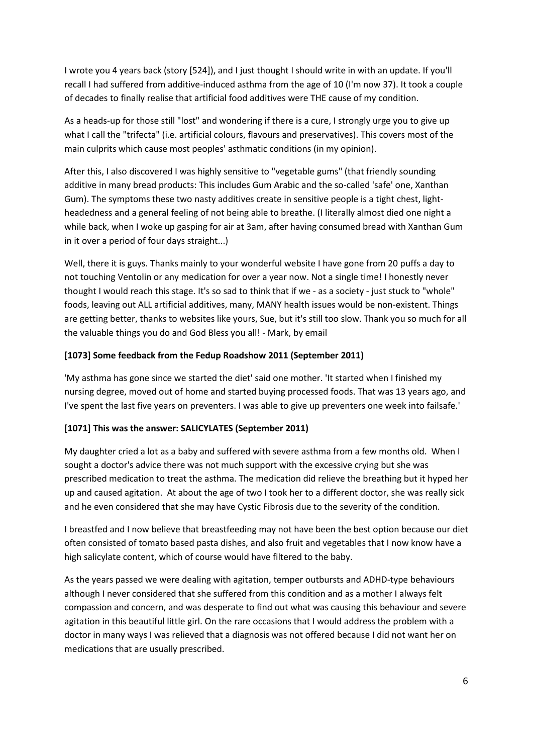I wrote you 4 years back (story [524]), and I just thought I should write in with an update. If you'll recall I had suffered from additive-induced asthma from the age of 10 (I'm now 37). It took a couple of decades to finally realise that artificial food additives were THE cause of my condition.

As a heads-up for those still "lost" and wondering if there is a cure, I strongly urge you to give up what I call the "trifecta" (i.e. artificial colours, flavours and preservatives). This covers most of the main culprits which cause most peoples' asthmatic conditions (in my opinion).

After this, I also discovered I was highly sensitive to "vegetable gums" (that friendly sounding additive in many bread products: This includes Gum Arabic and the so-called 'safe' one, Xanthan Gum). The symptoms these two nasty additives create in sensitive people is a tight chest, lightheadedness and a general feeling of not being able to breathe. (I literally almost died one night a while back, when I woke up gasping for air at 3am, after having consumed bread with Xanthan Gum in it over a period of four days straight...)

Well, there it is guys. Thanks mainly to your wonderful website I have gone from 20 puffs a day to not touching Ventolin or any medication for over a year now. Not a single time! I honestly never thought I would reach this stage. It's so sad to think that if we - as a society - just stuck to "whole" foods, leaving out ALL artificial additives, many, MANY health issues would be non-existent. Things are getting better, thanks to websites like yours, Sue, but it's still too slow. Thank you so much for all the valuable things you do and God Bless you all! - Mark, by email

#### **[1073] Some feedback from the Fedup Roadshow 2011 (September 2011)**

'My asthma has gone since we started the diet' said one mother. 'It started when I finished my nursing degree, moved out of home and started buying processed foods. That was 13 years ago, and I've spent the last five years on preventers. I was able to give up preventers one week into failsafe.'

## **[1071] This was the answer: SALICYLATES (September 2011)**

My daughter cried a lot as a baby and suffered with severe asthma from a few months old. When I sought a doctor's advice there was not much support with the excessive crying but she was prescribed medication to treat the asthma. The medication did relieve the breathing but it hyped her up and caused agitation. At about the age of two I took her to a different doctor, she was really sick and he even considered that she may have Cystic Fibrosis due to the severity of the condition.

I breastfed and I now believe that breastfeeding may not have been the best option because our diet often consisted of tomato based pasta dishes, and also fruit and vegetables that I now know have a high salicylate content, which of course would have filtered to the baby.

As the years passed we were dealing with agitation, temper outbursts and ADHD-type behaviours although I never considered that she suffered from this condition and as a mother I always felt compassion and concern, and was desperate to find out what was causing this behaviour and severe agitation in this beautiful little girl. On the rare occasions that I would address the problem with a doctor in many ways I was relieved that a diagnosis was not offered because I did not want her on medications that are usually prescribed.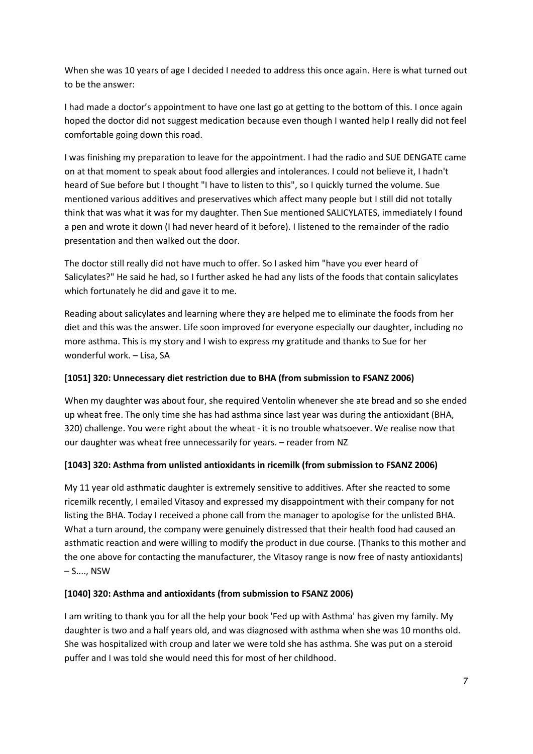When she was 10 years of age I decided I needed to address this once again. Here is what turned out to be the answer:

I had made a doctor's appointment to have one last go at getting to the bottom of this. I once again hoped the doctor did not suggest medication because even though I wanted help I really did not feel comfortable going down this road.

I was finishing my preparation to leave for the appointment. I had the radio and SUE DENGATE came on at that moment to speak about food allergies and intolerances. I could not believe it, I hadn't heard of Sue before but I thought "I have to listen to this", so I quickly turned the volume. Sue mentioned various additives and preservatives which affect many people but I still did not totally think that was what it was for my daughter. Then Sue mentioned SALICYLATES, immediately I found a pen and wrote it down (I had never heard of it before). I listened to the remainder of the radio presentation and then walked out the door.

The doctor still really did not have much to offer. So I asked him "have you ever heard of Salicylates?" He said he had, so I further asked he had any lists of the foods that contain salicylates which fortunately he did and gave it to me.

Reading about salicylates and learning where they are helped me to eliminate the foods from her diet and this was the answer. Life soon improved for everyone especially our daughter, including no more asthma. This is my story and I wish to express my gratitude and thanks to Sue for her wonderful work. – Lisa, SA

### **[1051] 320: Unnecessary diet restriction due to BHA (from submission to FSANZ 2006)**

When my daughter was about four, she required Ventolin whenever she ate bread and so she ended up wheat free. The only time she has had asthma since last year was during the antioxidant (BHA, 320) challenge. You were right about the wheat - it is no trouble whatsoever. We realise now that our daughter was wheat free unnecessarily for years. – reader from NZ

#### **[1043] 320: Asthma from unlisted antioxidants in ricemilk (from submission to FSANZ 2006)**

My 11 year old asthmatic daughter is extremely sensitive to additives. After she reacted to some ricemilk recently, I emailed Vitasoy and expressed my disappointment with their company for not listing the BHA. Today I received a phone call from the manager to apologise for the unlisted BHA. What a turn around, the company were genuinely distressed that their health food had caused an asthmatic reaction and were willing to modify the product in due course. (Thanks to this mother and the one above for contacting the manufacturer, the Vitasoy range is now free of nasty antioxidants) – S...., NSW

#### **[1040] 320: Asthma and antioxidants (from submission to FSANZ 2006)**

I am writing to thank you for all the help your book 'Fed up with Asthma' has given my family. My daughter is two and a half years old, and was diagnosed with asthma when she was 10 months old. She was hospitalized with croup and later we were told she has asthma. She was put on a steroid puffer and I was told she would need this for most of her childhood.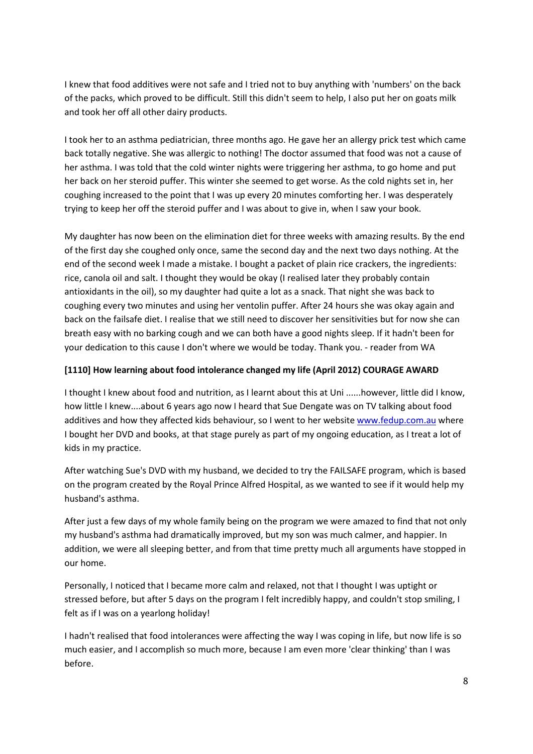I knew that food additives were not safe and I tried not to buy anything with 'numbers' on the back of the packs, which proved to be difficult. Still this didn't seem to help, I also put her on goats milk and took her off all other dairy products.

I took her to an asthma pediatrician, three months ago. He gave her an allergy prick test which came back totally negative. She was allergic to nothing! The doctor assumed that food was not a cause of her asthma. I was told that the cold winter nights were triggering her asthma, to go home and put her back on her steroid puffer. This winter she seemed to get worse. As the cold nights set in, her coughing increased to the point that I was up every 20 minutes comforting her. I was desperately trying to keep her off the steroid puffer and I was about to give in, when I saw your book.

My daughter has now been on the elimination diet for three weeks with amazing results. By the end of the first day she coughed only once, same the second day and the next two days nothing. At the end of the second week I made a mistake. I bought a packet of plain rice crackers, the ingredients: rice, canola oil and salt. I thought they would be okay (I realised later they probably contain antioxidants in the oil), so my daughter had quite a lot as a snack. That night she was back to coughing every two minutes and using her ventolin puffer. After 24 hours she was okay again and back on the failsafe diet. I realise that we still need to discover her sensitivities but for now she can breath easy with no barking cough and we can both have a good nights sleep. If it hadn't been for your dedication to this cause I don't where we would be today. Thank you. - reader from WA

#### **[1110] How learning about food intolerance changed my life (April 2012) COURAGE AWARD**

I thought I knew about food and nutrition, as I learnt about this at Uni ......however, little did I know, how little I knew....about 6 years ago now I heard that Sue Dengate was on TV talking about food additives and how they affected kids behaviour, so I went to her website [www.fedup.com.au](http://www.fedup.com.au/) where I bought her DVD and books, at that stage purely as part of my ongoing education, as I treat a lot of kids in my practice.

After watching Sue's DVD with my husband, we decided to try the FAILSAFE program, which is based on the program created by the Royal Prince Alfred Hospital, as we wanted to see if it would help my husband's asthma.

After just a few days of my whole family being on the program we were amazed to find that not only my husband's asthma had dramatically improved, but my son was much calmer, and happier. In addition, we were all sleeping better, and from that time pretty much all arguments have stopped in our home.

Personally, I noticed that I became more calm and relaxed, not that I thought I was uptight or stressed before, but after 5 days on the program I felt incredibly happy, and couldn't stop smiling, I felt as if I was on a yearlong holiday!

I hadn't realised that food intolerances were affecting the way I was coping in life, but now life is so much easier, and I accomplish so much more, because I am even more 'clear thinking' than I was before.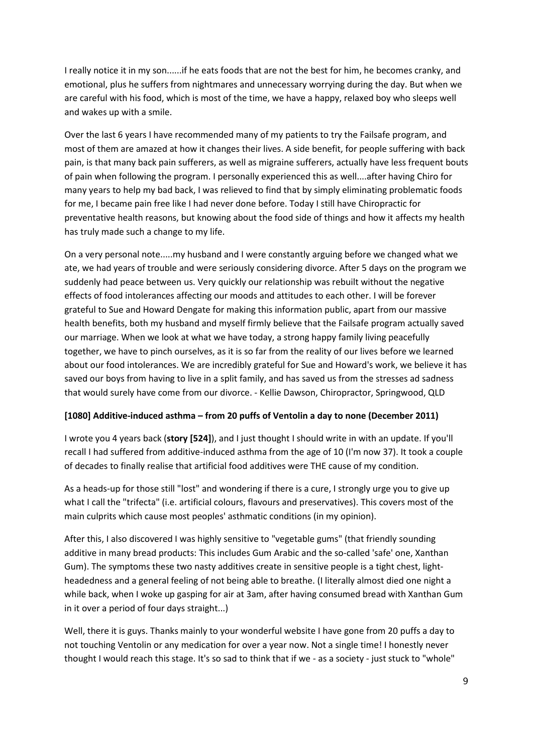I really notice it in my son......if he eats foods that are not the best for him, he becomes cranky, and emotional, plus he suffers from nightmares and unnecessary worrying during the day. But when we are careful with his food, which is most of the time, we have a happy, relaxed boy who sleeps well and wakes up with a smile.

Over the last 6 years I have recommended many of my patients to try the Failsafe program, and most of them are amazed at how it changes their lives. A side benefit, for people suffering with back pain, is that many back pain sufferers, as well as migraine sufferers, actually have less frequent bouts of pain when following the program. I personally experienced this as well....after having Chiro for many years to help my bad back, I was relieved to find that by simply eliminating problematic foods for me, I became pain free like I had never done before. Today I still have Chiropractic for preventative health reasons, but knowing about the food side of things and how it affects my health has truly made such a change to my life.

On a very personal note.....my husband and I were constantly arguing before we changed what we ate, we had years of trouble and were seriously considering divorce. After 5 days on the program we suddenly had peace between us. Very quickly our relationship was rebuilt without the negative effects of food intolerances affecting our moods and attitudes to each other. I will be forever grateful to Sue and Howard Dengate for making this information public, apart from our massive health benefits, both my husband and myself firmly believe that the Failsafe program actually saved our marriage. When we look at what we have today, a strong happy family living peacefully together, we have to pinch ourselves, as it is so far from the reality of our lives before we learned about our food intolerances. We are incredibly grateful for Sue and Howard's work, we believe it has saved our boys from having to live in a split family, and has saved us from the stresses ad sadness that would surely have come from our divorce. - Kellie Dawson, Chiropractor, Springwood, QLD

#### **[1080] Additive-induced asthma – from 20 puffs of Ventolin a day to none (December 2011)**

I wrote you 4 years back (**story [524]**), and I just thought I should write in with an update. If you'll recall I had suffered from additive-induced asthma from the age of 10 (I'm now 37). It took a couple of decades to finally realise that artificial food additives were THE cause of my condition.

As a heads-up for those still "lost" and wondering if there is a cure, I strongly urge you to give up what I call the "trifecta" (i.e. artificial colours, flavours and preservatives). This covers most of the main culprits which cause most peoples' asthmatic conditions (in my opinion).

After this, I also discovered I was highly sensitive to "vegetable gums" (that friendly sounding additive in many bread products: This includes Gum Arabic and the so-called 'safe' one, Xanthan Gum). The symptoms these two nasty additives create in sensitive people is a tight chest, lightheadedness and a general feeling of not being able to breathe. (I literally almost died one night a while back, when I woke up gasping for air at 3am, after having consumed bread with Xanthan Gum in it over a period of four days straight...)

Well, there it is guys. Thanks mainly to your wonderful website I have gone from 20 puffs a day to not touching Ventolin or any medication for over a year now. Not a single time! I honestly never thought I would reach this stage. It's so sad to think that if we - as a society - just stuck to "whole"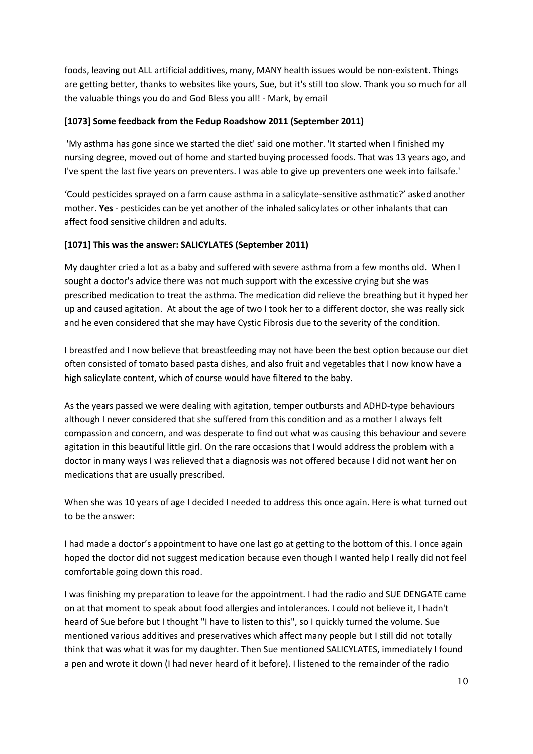foods, leaving out ALL artificial additives, many, MANY health issues would be non-existent. Things are getting better, thanks to websites like yours, Sue, but it's still too slow. Thank you so much for all the valuable things you do and God Bless you all! - Mark, by email

#### **[1073] Some feedback from the Fedup Roadshow 2011 (September 2011)**

'My asthma has gone since we started the diet' said one mother. 'It started when I finished my nursing degree, moved out of home and started buying processed foods. That was 13 years ago, and I've spent the last five years on preventers. I was able to give up preventers one week into failsafe.'

'Could pesticides sprayed on a farm cause asthma in a salicylate-sensitive asthmatic?' asked another mother. **Yes** - pesticides can be yet another of the inhaled salicylates or other inhalants that can affect food sensitive children and adults.

#### **[1071] This was the answer: SALICYLATES (September 2011)**

My daughter cried a lot as a baby and suffered with severe asthma from a few months old. When I sought a doctor's advice there was not much support with the excessive crying but she was prescribed medication to treat the asthma. The medication did relieve the breathing but it hyped her up and caused agitation. At about the age of two I took her to a different doctor, she was really sick and he even considered that she may have Cystic Fibrosis due to the severity of the condition.

I breastfed and I now believe that breastfeeding may not have been the best option because our diet often consisted of tomato based pasta dishes, and also fruit and vegetables that I now know have a high salicylate content, which of course would have filtered to the baby.

As the years passed we were dealing with agitation, temper outbursts and ADHD-type behaviours although I never considered that she suffered from this condition and as a mother I always felt compassion and concern, and was desperate to find out what was causing this behaviour and severe agitation in this beautiful little girl. On the rare occasions that I would address the problem with a doctor in many ways I was relieved that a diagnosis was not offered because I did not want her on medications that are usually prescribed.

When she was 10 years of age I decided I needed to address this once again. Here is what turned out to be the answer:

I had made a doctor's appointment to have one last go at getting to the bottom of this. I once again hoped the doctor did not suggest medication because even though I wanted help I really did not feel comfortable going down this road.

I was finishing my preparation to leave for the appointment. I had the radio and SUE DENGATE came on at that moment to speak about food allergies and intolerances. I could not believe it, I hadn't heard of Sue before but I thought "I have to listen to this", so I quickly turned the volume. Sue mentioned various additives and preservatives which affect many people but I still did not totally think that was what it was for my daughter. Then Sue mentioned SALICYLATES, immediately I found a pen and wrote it down (I had never heard of it before). I listened to the remainder of the radio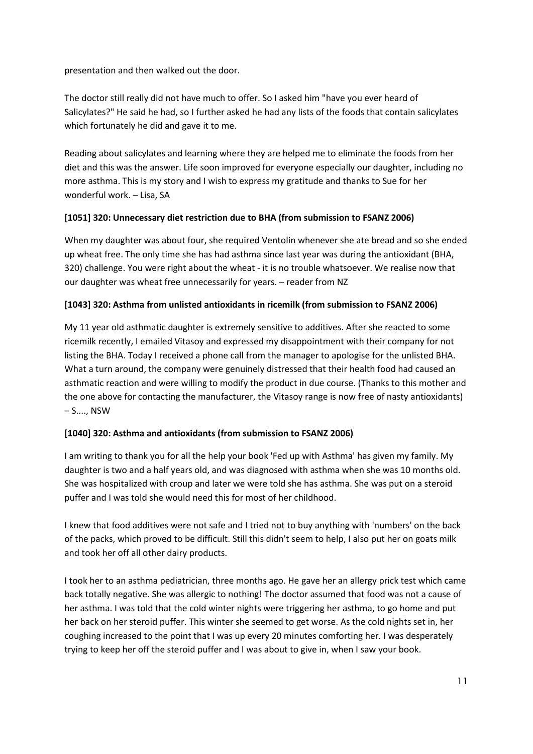presentation and then walked out the door.

The doctor still really did not have much to offer. So I asked him "have you ever heard of Salicylates?" He said he had, so I further asked he had any lists of the foods that contain salicylates which fortunately he did and gave it to me.

Reading about salicylates and learning where they are helped me to eliminate the foods from her diet and this was the answer. Life soon improved for everyone especially our daughter, including no more asthma. This is my story and I wish to express my gratitude and thanks to Sue for her wonderful work. – Lisa, SA

#### **[1051] 320: Unnecessary diet restriction due to BHA (from submission to FSANZ 2006)**

When my daughter was about four, she required Ventolin whenever she ate bread and so she ended up wheat free. The only time she has had asthma since last year was during the antioxidant (BHA, 320) challenge. You were right about the wheat - it is no trouble whatsoever. We realise now that our daughter was wheat free unnecessarily for years. – reader from NZ

#### **[1043] 320: Asthma from unlisted antioxidants in ricemilk (from submission to FSANZ 2006)**

My 11 year old asthmatic daughter is extremely sensitive to additives. After she reacted to some ricemilk recently, I emailed Vitasoy and expressed my disappointment with their company for not listing the BHA. Today I received a phone call from the manager to apologise for the unlisted BHA. What a turn around, the company were genuinely distressed that their health food had caused an asthmatic reaction and were willing to modify the product in due course. (Thanks to this mother and the one above for contacting the manufacturer, the Vitasoy range is now free of nasty antioxidants) – S...., NSW

#### **[1040] 320: Asthma and antioxidants (from submission to FSANZ 2006)**

I am writing to thank you for all the help your book 'Fed up with Asthma' has given my family. My daughter is two and a half years old, and was diagnosed with asthma when she was 10 months old. She was hospitalized with croup and later we were told she has asthma. She was put on a steroid puffer and I was told she would need this for most of her childhood.

I knew that food additives were not safe and I tried not to buy anything with 'numbers' on the back of the packs, which proved to be difficult. Still this didn't seem to help, I also put her on goats milk and took her off all other dairy products.

I took her to an asthma pediatrician, three months ago. He gave her an allergy prick test which came back totally negative. She was allergic to nothing! The doctor assumed that food was not a cause of her asthma. I was told that the cold winter nights were triggering her asthma, to go home and put her back on her steroid puffer. This winter she seemed to get worse. As the cold nights set in, her coughing increased to the point that I was up every 20 minutes comforting her. I was desperately trying to keep her off the steroid puffer and I was about to give in, when I saw your book.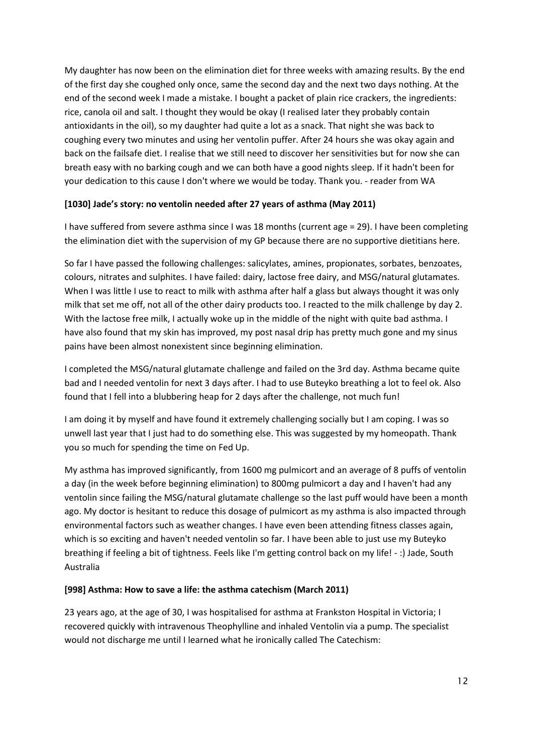My daughter has now been on the elimination diet for three weeks with amazing results. By the end of the first day she coughed only once, same the second day and the next two days nothing. At the end of the second week I made a mistake. I bought a packet of plain rice crackers, the ingredients: rice, canola oil and salt. I thought they would be okay (I realised later they probably contain antioxidants in the oil), so my daughter had quite a lot as a snack. That night she was back to coughing every two minutes and using her ventolin puffer. After 24 hours she was okay again and back on the failsafe diet. I realise that we still need to discover her sensitivities but for now she can breath easy with no barking cough and we can both have a good nights sleep. If it hadn't been for your dedication to this cause I don't where we would be today. Thank you. - reader from WA

#### **[1030] Jade's story: no ventolin needed after 27 years of asthma (May 2011)**

I have suffered from severe asthma since I was 18 months (current age = 29). I have been completing the elimination diet with the supervision of my GP because there are no supportive dietitians here.

So far I have passed the following challenges: salicylates, amines, propionates, sorbates, benzoates, colours, nitrates and sulphites. I have failed: dairy, lactose free dairy, and MSG/natural glutamates. When I was little I use to react to milk with asthma after half a glass but always thought it was only milk that set me off, not all of the other dairy products too. I reacted to the milk challenge by day 2. With the lactose free milk, I actually woke up in the middle of the night with quite bad asthma. I have also found that my skin has improved, my post nasal drip has pretty much gone and my sinus pains have been almost nonexistent since beginning elimination.

I completed the MSG/natural glutamate challenge and failed on the 3rd day. Asthma became quite bad and I needed ventolin for next 3 days after. I had to use Buteyko breathing a lot to feel ok. Also found that I fell into a blubbering heap for 2 days after the challenge, not much fun!

I am doing it by myself and have found it extremely challenging socially but I am coping. I was so unwell last year that I just had to do something else. This was suggested by my homeopath. Thank you so much for spending the time on Fed Up.

My asthma has improved significantly, from 1600 mg pulmicort and an average of 8 puffs of ventolin a day (in the week before beginning elimination) to 800mg pulmicort a day and I haven't had any ventolin since failing the MSG/natural glutamate challenge so the last puff would have been a month ago. My doctor is hesitant to reduce this dosage of pulmicort as my asthma is also impacted through environmental factors such as weather changes. I have even been attending fitness classes again, which is so exciting and haven't needed ventolin so far. I have been able to just use my Buteyko breathing if feeling a bit of tightness. Feels like I'm getting control back on my life! - :) Jade, South Australia

#### **[998] Asthma: How to save a life: the asthma catechism (March 2011)**

23 years ago, at the age of 30, I was hospitalised for asthma at Frankston Hospital in Victoria; I recovered quickly with intravenous Theophylline and inhaled Ventolin via a pump. The specialist would not discharge me until I learned what he ironically called The Catechism: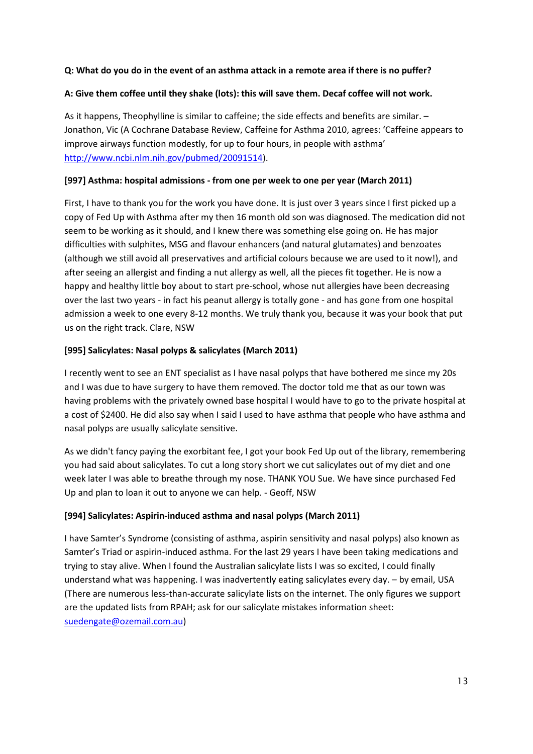#### **Q: What do you do in the event of an asthma attack in a remote area if there is no puffer?**

#### **A: Give them coffee until they shake (lots): this will save them. Decaf coffee will not work.**

As it happens, Theophylline is similar to caffeine; the side effects and benefits are similar. – Jonathon, Vic (A Cochrane Database Review, Caffeine for Asthma 2010, agrees: 'Caffeine appears to improve airways function modestly, for up to four hours, in people with asthma' [http://www.ncbi.nlm.nih.gov/pubmed/20091514\)](http://www.ncbi.nlm.nih.gov/pubmed/20091514).

#### **[997] Asthma: hospital admissions - from one per week to one per year (March 2011)**

First, I have to thank you for the work you have done. It is just over 3 years since I first picked up a copy of Fed Up with Asthma after my then 16 month old son was diagnosed. The medication did not seem to be working as it should, and I knew there was something else going on. He has major difficulties with sulphites, MSG and flavour enhancers (and natural glutamates) and benzoates (although we still avoid all preservatives and artificial colours because we are used to it now!), and after seeing an allergist and finding a nut allergy as well, all the pieces fit together. He is now a happy and healthy little boy about to start pre-school, whose nut allergies have been decreasing over the last two years - in fact his peanut allergy is totally gone - and has gone from one hospital admission a week to one every 8-12 months. We truly thank you, because it was your book that put us on the right track. Clare, NSW

#### **[995] Salicylates: Nasal polyps & salicylates (March 2011)**

I recently went to see an ENT specialist as I have nasal polyps that have bothered me since my 20s and I was due to have surgery to have them removed. The doctor told me that as our town was having problems with the privately owned base hospital I would have to go to the private hospital at a cost of \$2400. He did also say when I said I used to have asthma that people who have asthma and nasal polyps are usually salicylate sensitive.

As we didn't fancy paying the exorbitant fee, I got your book Fed Up out of the library, remembering you had said about salicylates. To cut a long story short we cut salicylates out of my diet and one week later I was able to breathe through my nose. THANK YOU Sue. We have since purchased Fed Up and plan to loan it out to anyone we can help. - Geoff, NSW

#### **[994] Salicylates: Aspirin-induced asthma and nasal polyps (March 2011)**

I have Samter's Syndrome (consisting of asthma, aspirin sensitivity and nasal polyps) also known as Samter's Triad or aspirin-induced asthma. For the last 29 years I have been taking medications and trying to stay alive. When I found the Australian salicylate lists I was so excited, I could finally understand what was happening. I was inadvertently eating salicylates every day. – by email, USA (There are numerous less-than-accurate salicylate lists on the internet. The only figures we support are the updated lists from RPAH; ask for our salicylate mistakes information sheet: [suedengate@ozemail.com.au\)](mailto:suedengate@ozemail.com.au)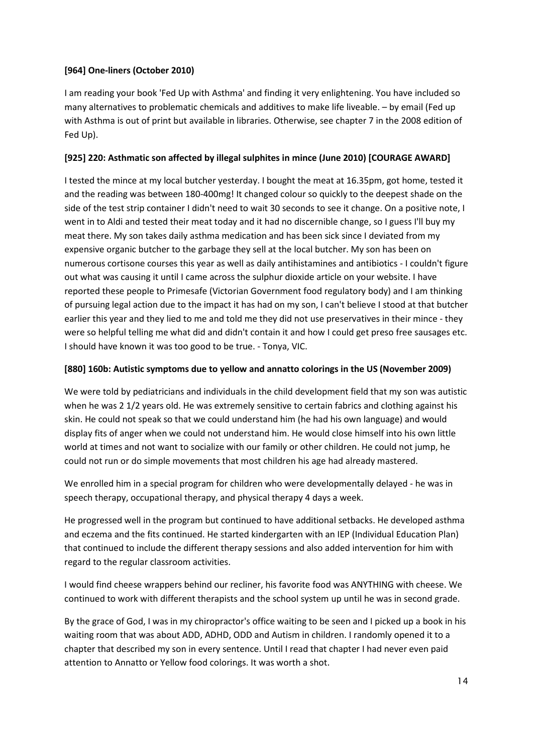#### **[964] One-liners (October 2010)**

I am reading your book 'Fed Up with Asthma' and finding it very enlightening. You have included so many alternatives to problematic chemicals and additives to make life liveable. – by email (Fed up with Asthma is out of print but available in libraries. Otherwise, see chapter 7 in the 2008 edition of Fed Up).

#### **[925] 220: Asthmatic son affected by illegal sulphites in mince (June 2010) [COURAGE AWARD]**

I tested the mince at my local butcher yesterday. I bought the meat at 16.35pm, got home, tested it and the reading was between 180-400mg! It changed colour so quickly to the deepest shade on the side of the test strip container I didn't need to wait 30 seconds to see it change. On a positive note, I went in to Aldi and tested their meat today and it had no discernible change, so I guess I'll buy my meat there. My son takes daily asthma medication and has been sick since I deviated from my expensive organic butcher to the garbage they sell at the local butcher. My son has been on numerous cortisone courses this year as well as daily antihistamines and antibiotics - I couldn't figure out what was causing it until I came across the sulphur dioxide article on your website. I have reported these people to Primesafe (Victorian Government food regulatory body) and I am thinking of pursuing legal action due to the impact it has had on my son, I can't believe I stood at that butcher earlier this year and they lied to me and told me they did not use preservatives in their mince - they were so helpful telling me what did and didn't contain it and how I could get preso free sausages etc. I should have known it was too good to be true. - Tonya, VIC.

#### **[880] 160b: Autistic symptoms due to yellow and annatto colorings in the US (November 2009)**

We were told by pediatricians and individuals in the child development field that my son was autistic when he was 2 1/2 years old. He was extremely sensitive to certain fabrics and clothing against his skin. He could not speak so that we could understand him (he had his own language) and would display fits of anger when we could not understand him. He would close himself into his own little world at times and not want to socialize with our family or other children. He could not jump, he could not run or do simple movements that most children his age had already mastered.

We enrolled him in a special program for children who were developmentally delayed - he was in speech therapy, occupational therapy, and physical therapy 4 days a week.

He progressed well in the program but continued to have additional setbacks. He developed asthma and eczema and the fits continued. He started kindergarten with an IEP (Individual Education Plan) that continued to include the different therapy sessions and also added intervention for him with regard to the regular classroom activities.

I would find cheese wrappers behind our recliner, his favorite food was ANYTHING with cheese. We continued to work with different therapists and the school system up until he was in second grade.

By the grace of God, I was in my chiropractor's office waiting to be seen and I picked up a book in his waiting room that was about ADD, ADHD, ODD and Autism in children. I randomly opened it to a chapter that described my son in every sentence. Until I read that chapter I had never even paid attention to Annatto or Yellow food colorings. It was worth a shot.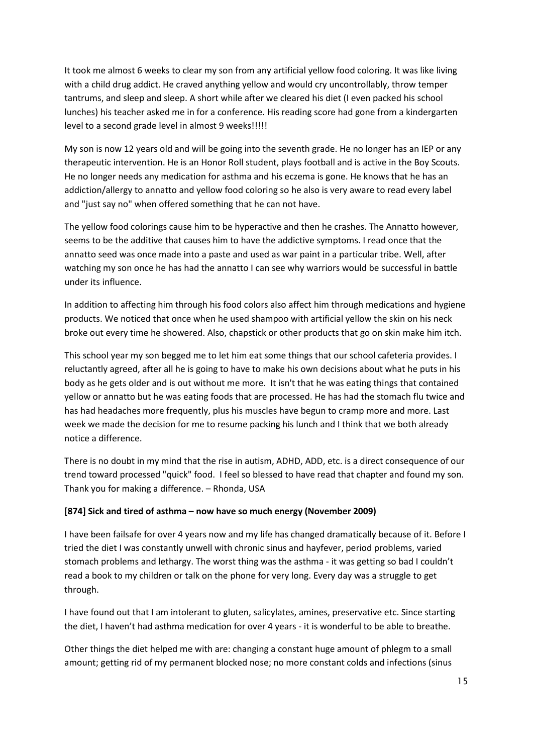It took me almost 6 weeks to clear my son from any artificial yellow food coloring. It was like living with a child drug addict. He craved anything yellow and would cry uncontrollably, throw temper tantrums, and sleep and sleep. A short while after we cleared his diet (I even packed his school lunches) his teacher asked me in for a conference. His reading score had gone from a kindergarten level to a second grade level in almost 9 weeks!!!!!

My son is now 12 years old and will be going into the seventh grade. He no longer has an IEP or any therapeutic intervention. He is an Honor Roll student, plays football and is active in the Boy Scouts. He no longer needs any medication for asthma and his eczema is gone. He knows that he has an addiction/allergy to annatto and yellow food coloring so he also is very aware to read every label and "just say no" when offered something that he can not have.

The yellow food colorings cause him to be hyperactive and then he crashes. The Annatto however, seems to be the additive that causes him to have the addictive symptoms. I read once that the annatto seed was once made into a paste and used as war paint in a particular tribe. Well, after watching my son once he has had the annatto I can see why warriors would be successful in battle under its influence.

In addition to affecting him through his food colors also affect him through medications and hygiene products. We noticed that once when he used shampoo with artificial yellow the skin on his neck broke out every time he showered. Also, chapstick or other products that go on skin make him itch.

This school year my son begged me to let him eat some things that our school cafeteria provides. I reluctantly agreed, after all he is going to have to make his own decisions about what he puts in his body as he gets older and is out without me more. It isn't that he was eating things that contained yellow or annatto but he was eating foods that are processed. He has had the stomach flu twice and has had headaches more frequently, plus his muscles have begun to cramp more and more. Last week we made the decision for me to resume packing his lunch and I think that we both already notice a difference.

There is no doubt in my mind that the rise in autism, ADHD, ADD, etc. is a direct consequence of our trend toward processed "quick" food. I feel so blessed to have read that chapter and found my son. Thank you for making a difference. – Rhonda, USA

#### **[874] Sick and tired of asthma – now have so much energy (November 2009)**

I have been failsafe for over 4 years now and my life has changed dramatically because of it. Before I tried the diet I was constantly unwell with chronic sinus and hayfever, period problems, varied stomach problems and lethargy. The worst thing was the asthma - it was getting so bad I couldn't read a book to my children or talk on the phone for very long. Every day was a struggle to get through.

I have found out that I am intolerant to gluten, salicylates, amines, preservative etc. Since starting the diet, I haven't had asthma medication for over 4 years - it is wonderful to be able to breathe.

Other things the diet helped me with are: changing a constant huge amount of phlegm to a small amount; getting rid of my permanent blocked nose; no more constant colds and infections (sinus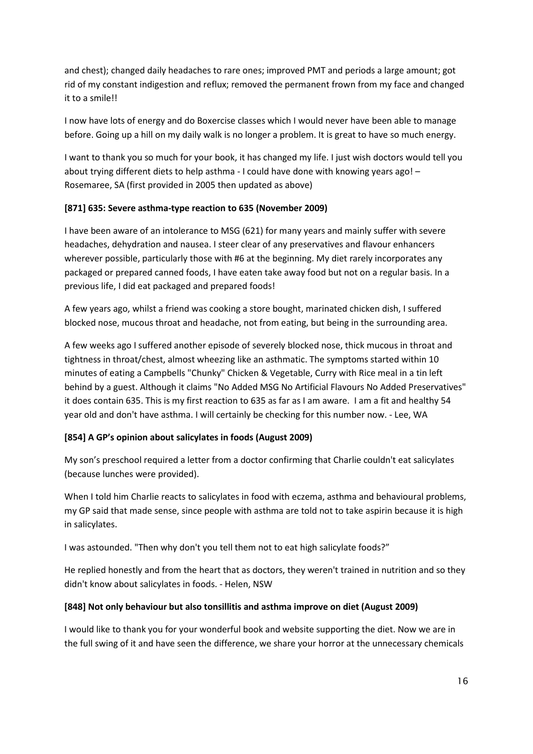and chest); changed daily headaches to rare ones; improved PMT and periods a large amount; got rid of my constant indigestion and reflux; removed the permanent frown from my face and changed it to a smile!!

I now have lots of energy and do Boxercise classes which I would never have been able to manage before. Going up a hill on my daily walk is no longer a problem. It is great to have so much energy.

I want to thank you so much for your book, it has changed my life. I just wish doctors would tell you about trying different diets to help asthma - I could have done with knowing years ago! -Rosemaree, SA (first provided in 2005 then updated as above)

#### **[871] 635: Severe asthma-type reaction to 635 (November 2009)**

I have been aware of an intolerance to MSG (621) for many years and mainly suffer with severe headaches, dehydration and nausea. I steer clear of any preservatives and flavour enhancers wherever possible, particularly those with #6 at the beginning. My diet rarely incorporates any packaged or prepared canned foods, I have eaten take away food but not on a regular basis. In a previous life, I did eat packaged and prepared foods!

A few years ago, whilst a friend was cooking a store bought, marinated chicken dish, I suffered blocked nose, mucous throat and headache, not from eating, but being in the surrounding area.

A few weeks ago I suffered another episode of severely blocked nose, thick mucous in throat and tightness in throat/chest, almost wheezing like an asthmatic. The symptoms started within 10 minutes of eating a Campbells "Chunky" Chicken & Vegetable, Curry with Rice meal in a tin left behind by a guest. Although it claims "No Added MSG No Artificial Flavours No Added Preservatives" it does contain 635. This is my first reaction to 635 as far as I am aware. I am a fit and healthy 54 year old and don't have asthma. I will certainly be checking for this number now. - Lee, WA

#### **[854] A GP's opinion about salicylates in foods (August 2009)**

My son's preschool required a letter from a doctor confirming that Charlie couldn't eat salicylates (because lunches were provided).

When I told him Charlie reacts to salicylates in food with eczema, asthma and behavioural problems, my GP said that made sense, since people with asthma are told not to take aspirin because it is high in salicylates.

I was astounded. "Then why don't you tell them not to eat high salicylate foods?"

He replied honestly and from the heart that as doctors, they weren't trained in nutrition and so they didn't know about salicylates in foods. - Helen, NSW

#### **[848] Not only behaviour but also tonsillitis and asthma improve on diet (August 2009)**

I would like to thank you for your wonderful book and website supporting the diet. Now we are in the full swing of it and have seen the difference, we share your horror at the unnecessary chemicals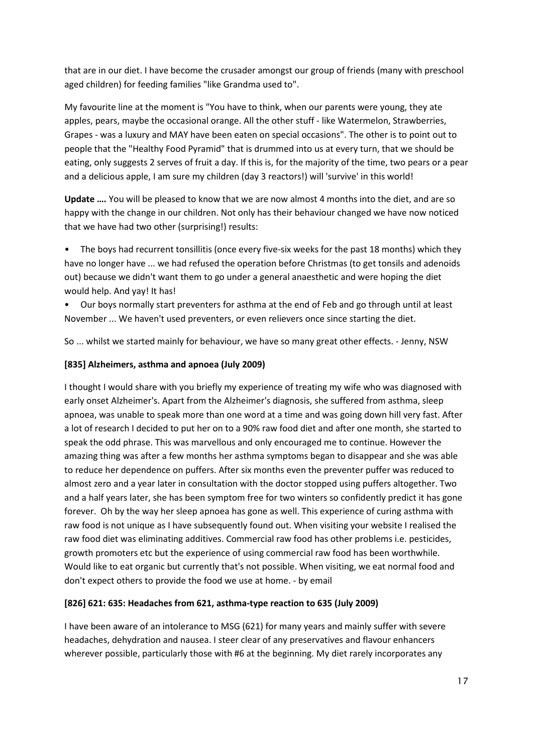that are in our diet. I have become the crusader amongst our group of friends (many with preschool aged children) for feeding families "like Grandma used to".

My favourite line at the moment is "You have to think, when our parents were young, they ate apples, pears, maybe the occasional orange. All the other stuff - like Watermelon, Strawberries, Grapes - was a luxury and MAY have been eaten on special occasions". The other is to point out to people that the "Healthy Food Pyramid" that is drummed into us at every turn, that we should be eating, only suggests 2 serves of fruit a day. If this is, for the majority of the time, two pears or a pear and a delicious apple, I am sure my children (day 3 reactors!) will 'survive' in this world!

**Update ….** You will be pleased to know that we are now almost 4 months into the diet, and are so happy with the change in our children. Not only has their behaviour changed we have now noticed that we have had two other (surprising!) results:

• The boys had recurrent tonsillitis (once every five-six weeks for the past 18 months) which they have no longer have ... we had refused the operation before Christmas (to get tonsils and adenoids out) because we didn't want them to go under a general anaesthetic and were hoping the diet would help. And yay! It has!

• Our boys normally start preventers for asthma at the end of Feb and go through until at least November ... We haven't used preventers, or even relievers once since starting the diet.

So ... whilst we started mainly for behaviour, we have so many great other effects. - Jenny, NSW

#### **[835] Alzheimers, asthma and apnoea (July 2009)**

I thought I would share with you briefly my experience of treating my wife who was diagnosed with early onset Alzheimer's. Apart from the Alzheimer's diagnosis, she suffered from asthma, sleep apnoea, was unable to speak more than one word at a time and was going down hill very fast. After a lot of research I decided to put her on to a 90% raw food diet and after one month, she started to speak the odd phrase. This was marvellous and only encouraged me to continue. However the amazing thing was after a few months her asthma symptoms began to disappear and she was able to reduce her dependence on puffers. After six months even the preventer puffer was reduced to almost zero and a year later in consultation with the doctor stopped using puffers altogether. Two and a half years later, she has been symptom free for two winters so confidently predict it has gone forever. Oh by the way her sleep apnoea has gone as well. This experience of curing asthma with raw food is not unique as I have subsequently found out. When visiting your website I realised the raw food diet was eliminating additives. Commercial raw food has other problems i.e. pesticides, growth promoters etc but the experience of using commercial raw food has been worthwhile. Would like to eat organic but currently that's not possible. When visiting, we eat normal food and don't expect others to provide the food we use at home. - by email

#### **[826] 621: 635: Headaches from 621, asthma-type reaction to 635 (July 2009)**

I have been aware of an intolerance to MSG (621) for many years and mainly suffer with severe headaches, dehydration and nausea. I steer clear of any preservatives and flavour enhancers wherever possible, particularly those with #6 at the beginning. My diet rarely incorporates any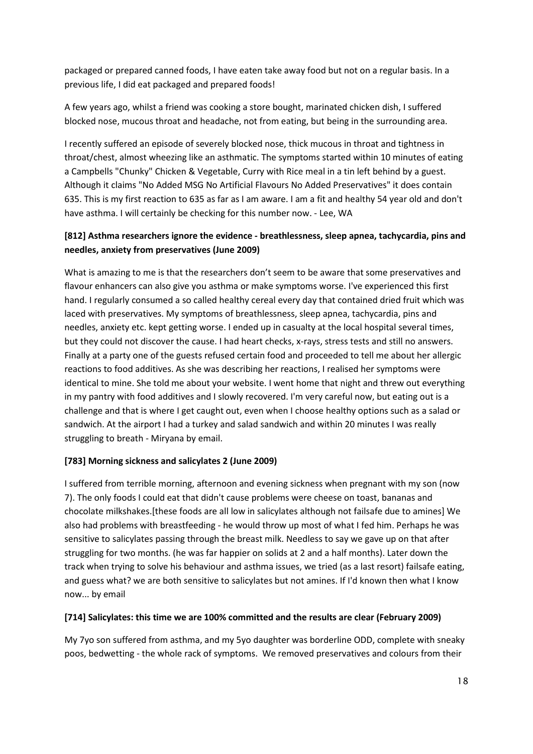packaged or prepared canned foods, I have eaten take away food but not on a regular basis. In a previous life, I did eat packaged and prepared foods!

A few years ago, whilst a friend was cooking a store bought, marinated chicken dish, I suffered blocked nose, mucous throat and headache, not from eating, but being in the surrounding area.

I recently suffered an episode of severely blocked nose, thick mucous in throat and tightness in throat/chest, almost wheezing like an asthmatic. The symptoms started within 10 minutes of eating a Campbells "Chunky" Chicken & Vegetable, Curry with Rice meal in a tin left behind by a guest. Although it claims "No Added MSG No Artificial Flavours No Added Preservatives" it does contain 635. This is my first reaction to 635 as far as I am aware. I am a fit and healthy 54 year old and don't have asthma. I will certainly be checking for this number now. - Lee, WA

## **[812] Asthma researchers ignore the evidence - breathlessness, sleep apnea, tachycardia, pins and needles, anxiety from preservatives (June 2009)**

What is amazing to me is that the researchers don't seem to be aware that some preservatives and flavour enhancers can also give you asthma or make symptoms worse. I've experienced this first hand. I regularly consumed a so called healthy cereal every day that contained dried fruit which was laced with preservatives. My symptoms of breathlessness, sleep apnea, tachycardia, pins and needles, anxiety etc. kept getting worse. I ended up in casualty at the local hospital several times, but they could not discover the cause. I had heart checks, x-rays, stress tests and still no answers. Finally at a party one of the guests refused certain food and proceeded to tell me about her allergic reactions to food additives. As she was describing her reactions, I realised her symptoms were identical to mine. She told me about your website. I went home that night and threw out everything in my pantry with food additives and I slowly recovered. I'm very careful now, but eating out is a challenge and that is where I get caught out, even when I choose healthy options such as a salad or sandwich. At the airport I had a turkey and salad sandwich and within 20 minutes I was really struggling to breath - Miryana by email.

#### **[783] Morning sickness and salicylates 2 (June 2009)**

I suffered from terrible morning, afternoon and evening sickness when pregnant with my son (now 7). The only foods I could eat that didn't cause problems were cheese on toast, bananas and chocolate milkshakes.[these foods are all low in salicylates although not failsafe due to amines] We also had problems with breastfeeding - he would throw up most of what I fed him. Perhaps he was sensitive to salicylates passing through the breast milk. Needless to say we gave up on that after struggling for two months. (he was far happier on solids at 2 and a half months). Later down the track when trying to solve his behaviour and asthma issues, we tried (as a last resort) failsafe eating, and guess what? we are both sensitive to salicylates but not amines. If I'd known then what I know now... by email

#### **[714] Salicylates: this time we are 100% committed and the results are clear (February 2009)**

My 7yo son suffered from asthma, and my 5yo daughter was borderline ODD, complete with sneaky poos, bedwetting - the whole rack of symptoms. We removed preservatives and colours from their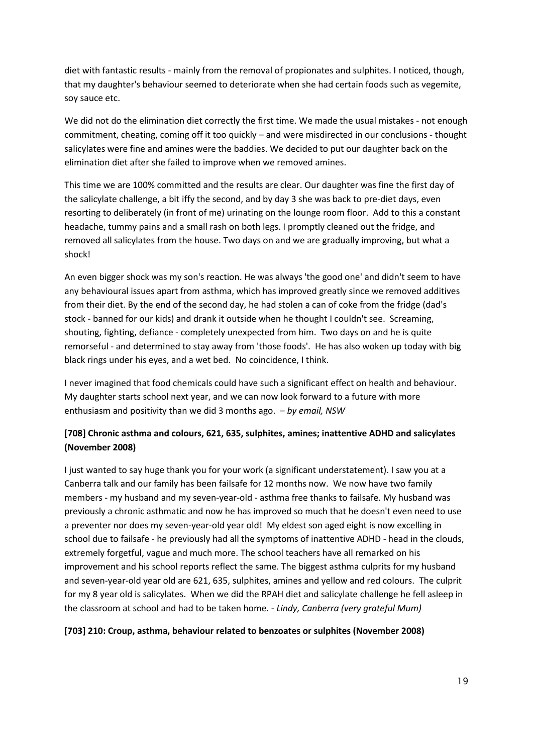diet with fantastic results - mainly from the removal of propionates and sulphites. I noticed, though, that my daughter's behaviour seemed to deteriorate when she had certain foods such as vegemite, soy sauce etc.

We did not do the elimination diet correctly the first time. We made the usual mistakes - not enough commitment, cheating, coming off it too quickly – and were misdirected in our conclusions - thought salicylates were fine and amines were the baddies. We decided to put our daughter back on the elimination diet after she failed to improve when we removed amines.

This time we are 100% committed and the results are clear. Our daughter was fine the first day of the salicylate challenge, a bit iffy the second, and by day 3 she was back to pre-diet days, even resorting to deliberately (in front of me) urinating on the lounge room floor. Add to this a constant headache, tummy pains and a small rash on both legs. I promptly cleaned out the fridge, and removed all salicylates from the house. Two days on and we are gradually improving, but what a shock!

An even bigger shock was my son's reaction. He was always 'the good one' and didn't seem to have any behavioural issues apart from asthma, which has improved greatly since we removed additives from their diet. By the end of the second day, he had stolen a can of coke from the fridge (dad's stock - banned for our kids) and drank it outside when he thought I couldn't see. Screaming, shouting, fighting, defiance - completely unexpected from him. Two days on and he is quite remorseful - and determined to stay away from 'those foods'. He has also woken up today with big black rings under his eyes, and a wet bed. No coincidence, I think.

I never imagined that food chemicals could have such a significant effect on health and behaviour. My daughter starts school next year, and we can now look forward to a future with more enthusiasm and positivity than we did 3 months ago. – *by email, NSW*

## **[708] Chronic asthma and colours, 621, 635, sulphites, amines; inattentive ADHD and salicylates (November 2008)**

I just wanted to say huge thank you for your work (a significant understatement). I saw you at a Canberra talk and our family has been failsafe for 12 months now. We now have two family members - my husband and my seven-year-old - asthma free thanks to failsafe. My husband was previously a chronic asthmatic and now he has improved so much that he doesn't even need to use a preventer nor does my seven-year-old year old! My eldest son aged eight is now excelling in school due to failsafe - he previously had all the symptoms of inattentive ADHD - head in the clouds, extremely forgetful, vague and much more. The school teachers have all remarked on his improvement and his school reports reflect the same. The biggest asthma culprits for my husband and seven-year-old year old are 621, 635, sulphites, amines and yellow and red colours. The culprit for my 8 year old is salicylates. When we did the RPAH diet and salicylate challenge he fell asleep in the classroom at school and had to be taken home. - *Lindy, Canberra (very grateful Mum)*

#### **[703] 210: Croup, asthma, behaviour related to benzoates or sulphites (November 2008)**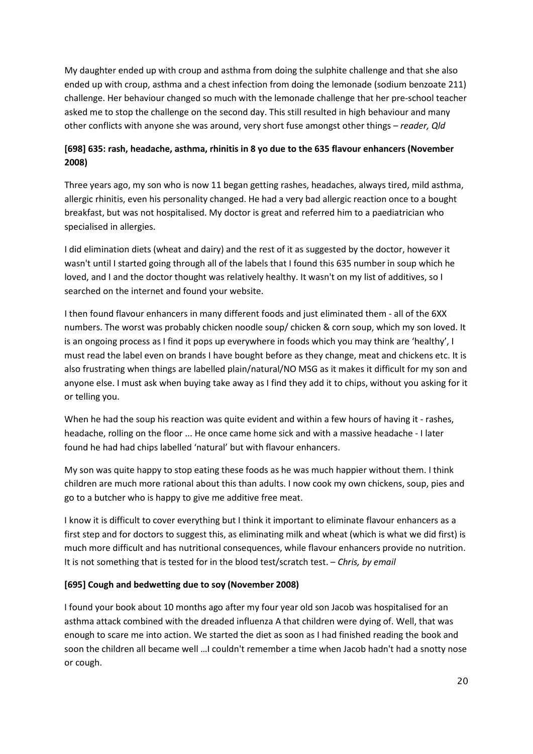My daughter ended up with croup and asthma from doing the sulphite challenge and that she also ended up with croup, asthma and a chest infection from doing the lemonade (sodium benzoate 211) challenge. Her behaviour changed so much with the lemonade challenge that her pre-school teacher asked me to stop the challenge on the second day. This still resulted in high behaviour and many other conflicts with anyone she was around, very short fuse amongst other things – *reader, Qld*

## **[698] 635: rash, headache, asthma, rhinitis in 8 yo due to the 635 flavour enhancers (November 2008)**

Three years ago, my son who is now 11 began getting rashes, headaches, always tired, mild asthma, allergic rhinitis, even his personality changed. He had a very bad allergic reaction once to a bought breakfast, but was not hospitalised. My doctor is great and referred him to a paediatrician who specialised in allergies.

I did elimination diets (wheat and dairy) and the rest of it as suggested by the doctor, however it wasn't until I started going through all of the labels that I found this 635 number in soup which he loved, and I and the doctor thought was relatively healthy. It wasn't on my list of additives, so I searched on the internet and found your website.

I then found flavour enhancers in many different foods and just eliminated them - all of the 6XX numbers. The worst was probably chicken noodle soup/ chicken & corn soup, which my son loved. It is an ongoing process as I find it pops up everywhere in foods which you may think are 'healthy', I must read the label even on brands I have bought before as they change, meat and chickens etc. It is also frustrating when things are labelled plain/natural/NO MSG as it makes it difficult for my son and anyone else. I must ask when buying take away as I find they add it to chips, without you asking for it or telling you.

When he had the soup his reaction was quite evident and within a few hours of having it - rashes, headache, rolling on the floor ... He once came home sick and with a massive headache - I later found he had had chips labelled 'natural' but with flavour enhancers.

My son was quite happy to stop eating these foods as he was much happier without them. I think children are much more rational about this than adults. I now cook my own chickens, soup, pies and go to a butcher who is happy to give me additive free meat.

I know it is difficult to cover everything but I think it important to eliminate flavour enhancers as a first step and for doctors to suggest this, as eliminating milk and wheat (which is what we did first) is much more difficult and has nutritional consequences, while flavour enhancers provide no nutrition. It is not something that is tested for in the blood test/scratch test. – *Chris, by email*

#### **[695] Cough and bedwetting due to soy (November 2008)**

I found your book about 10 months ago after my four year old son Jacob was hospitalised for an asthma attack combined with the dreaded influenza A that children were dying of. Well, that was enough to scare me into action. We started the diet as soon as I had finished reading the book and soon the children all became well …I couldn't remember a time when Jacob hadn't had a snotty nose or cough.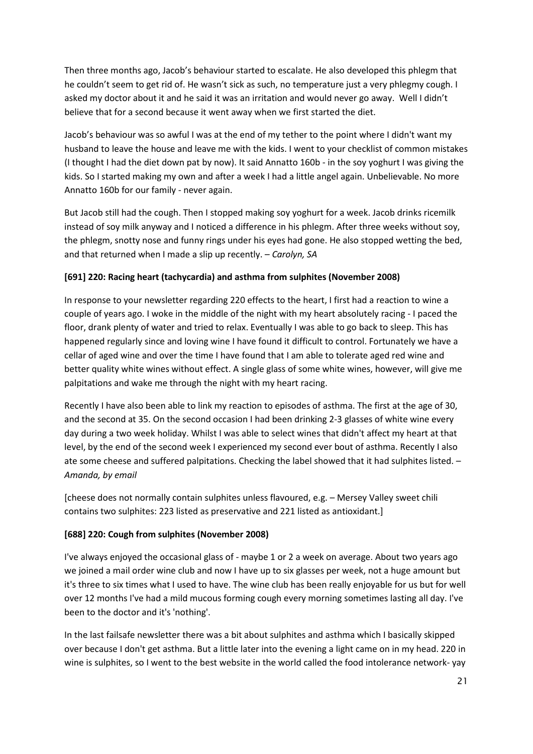Then three months ago, Jacob's behaviour started to escalate. He also developed this phlegm that he couldn't seem to get rid of. He wasn't sick as such, no temperature just a very phlegmy cough. I asked my doctor about it and he said it was an irritation and would never go away. Well I didn't believe that for a second because it went away when we first started the diet.

Jacob's behaviour was so awful I was at the end of my tether to the point where I didn't want my husband to leave the house and leave me with the kids. I went to your checklist of common mistakes (I thought I had the diet down pat by now). It said Annatto 160b - in the soy yoghurt I was giving the kids. So I started making my own and after a week I had a little angel again. Unbelievable. No more Annatto 160b for our family - never again.

But Jacob still had the cough. Then I stopped making soy yoghurt for a week. Jacob drinks ricemilk instead of soy milk anyway and I noticed a difference in his phlegm. After three weeks without soy, the phlegm, snotty nose and funny rings under his eyes had gone. He also stopped wetting the bed, and that returned when I made a slip up recently. – *Carolyn, SA*

#### **[691] 220: Racing heart (tachycardia) and asthma from sulphites (November 2008)**

In response to your newsletter regarding 220 effects to the heart, I first had a reaction to wine a couple of years ago. I woke in the middle of the night with my heart absolutely racing - I paced the floor, drank plenty of water and tried to relax. Eventually I was able to go back to sleep. This has happened regularly since and loving wine I have found it difficult to control. Fortunately we have a cellar of aged wine and over the time I have found that I am able to tolerate aged red wine and better quality white wines without effect. A single glass of some white wines, however, will give me palpitations and wake me through the night with my heart racing.

Recently I have also been able to link my reaction to episodes of asthma. The first at the age of 30, and the second at 35. On the second occasion I had been drinking 2-3 glasses of white wine every day during a two week holiday. Whilst I was able to select wines that didn't affect my heart at that level, by the end of the second week I experienced my second ever bout of asthma. Recently I also ate some cheese and suffered palpitations. Checking the label showed that it had sulphites listed. – *Amanda, by email* 

[cheese does not normally contain sulphites unless flavoured, e.g. – Mersey Valley sweet chili contains two sulphites: 223 listed as preservative and 221 listed as antioxidant.]

#### **[688] 220: Cough from sulphites (November 2008)**

I've always enjoyed the occasional glass of - maybe 1 or 2 a week on average. About two years ago we joined a mail order wine club and now I have up to six glasses per week, not a huge amount but it's three to six times what I used to have. The wine club has been really enjoyable for us but for well over 12 months I've had a mild mucous forming cough every morning sometimes lasting all day. I've been to the doctor and it's 'nothing'.

In the last failsafe newsletter there was a bit about sulphites and asthma which I basically skipped over because I don't get asthma. But a little later into the evening a light came on in my head. 220 in wine is sulphites, so I went to the best website in the world called the food intolerance network- yay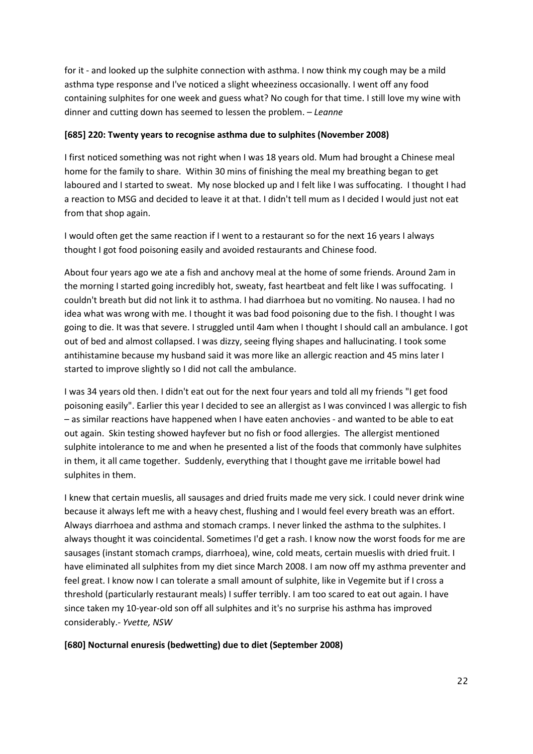for it - and looked up the sulphite connection with asthma. I now think my cough may be a mild asthma type response and I've noticed a slight wheeziness occasionally. I went off any food containing sulphites for one week and guess what? No cough for that time. I still love my wine with dinner and cutting down has seemed to lessen the problem. – *Leanne* 

#### **[685] 220: Twenty years to recognise asthma due to sulphites (November 2008)**

I first noticed something was not right when I was 18 years old. Mum had brought a Chinese meal home for the family to share. Within 30 mins of finishing the meal my breathing began to get laboured and I started to sweat. My nose blocked up and I felt like I was suffocating. I thought I had a reaction to MSG and decided to leave it at that. I didn't tell mum as I decided I would just not eat from that shop again.

I would often get the same reaction if I went to a restaurant so for the next 16 years I always thought I got food poisoning easily and avoided restaurants and Chinese food.

About four years ago we ate a fish and anchovy meal at the home of some friends. Around 2am in the morning I started going incredibly hot, sweaty, fast heartbeat and felt like I was suffocating. I couldn't breath but did not link it to asthma. I had diarrhoea but no vomiting. No nausea. I had no idea what was wrong with me. I thought it was bad food poisoning due to the fish. I thought I was going to die. It was that severe. I struggled until 4am when I thought I should call an ambulance. I got out of bed and almost collapsed. I was dizzy, seeing flying shapes and hallucinating. I took some antihistamine because my husband said it was more like an allergic reaction and 45 mins later I started to improve slightly so I did not call the ambulance.

I was 34 years old then. I didn't eat out for the next four years and told all my friends "I get food poisoning easily". Earlier this year I decided to see an allergist as I was convinced I was allergic to fish – as similar reactions have happened when I have eaten anchovies - and wanted to be able to eat out again. Skin testing showed hayfever but no fish or food allergies. The allergist mentioned sulphite intolerance to me and when he presented a list of the foods that commonly have sulphites in them, it all came together. Suddenly, everything that I thought gave me irritable bowel had sulphites in them.

I knew that certain mueslis, all sausages and dried fruits made me very sick. I could never drink wine because it always left me with a heavy chest, flushing and I would feel every breath was an effort. Always diarrhoea and asthma and stomach cramps. I never linked the asthma to the sulphites. I always thought it was coincidental. Sometimes I'd get a rash. I know now the worst foods for me are sausages (instant stomach cramps, diarrhoea), wine, cold meats, certain mueslis with dried fruit. I have eliminated all sulphites from my diet since March 2008. I am now off my asthma preventer and feel great. I know now I can tolerate a small amount of sulphite, like in Vegemite but if I cross a threshold (particularly restaurant meals) I suffer terribly. I am too scared to eat out again. I have since taken my 10-year-old son off all sulphites and it's no surprise his asthma has improved considerably.- *Yvette, NSW* 

**[680] Nocturnal enuresis (bedwetting) due to diet (September 2008)**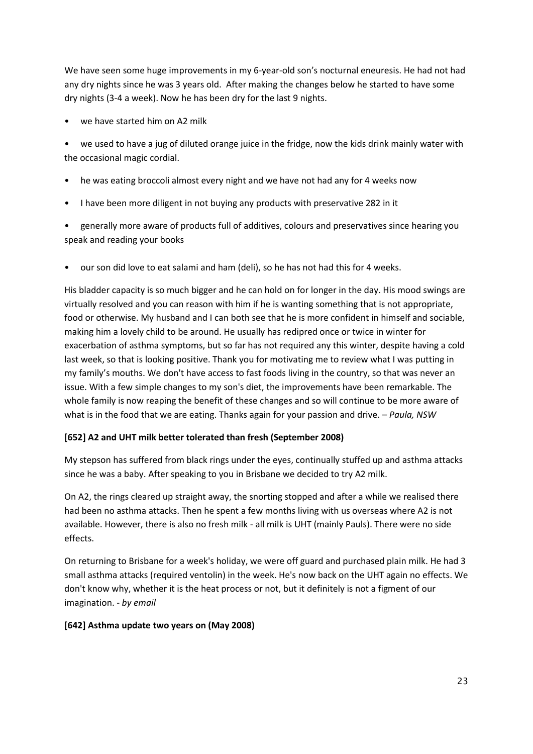We have seen some huge improvements in my 6-year-old son's nocturnal eneuresis. He had not had any dry nights since he was 3 years old. After making the changes below he started to have some dry nights (3-4 a week). Now he has been dry for the last 9 nights.

we have started him on A2 milk

• we used to have a jug of diluted orange juice in the fridge, now the kids drink mainly water with the occasional magic cordial.

- he was eating broccoli almost every night and we have not had any for 4 weeks now
- I have been more diligent in not buying any products with preservative 282 in it

• generally more aware of products full of additives, colours and preservatives since hearing you speak and reading your books

• our son did love to eat salami and ham (deli), so he has not had this for 4 weeks.

His bladder capacity is so much bigger and he can hold on for longer in the day. His mood swings are virtually resolved and you can reason with him if he is wanting something that is not appropriate, food or otherwise. My husband and I can both see that he is more confident in himself and sociable, making him a lovely child to be around. He usually has redipred once or twice in winter for exacerbation of asthma symptoms, but so far has not required any this winter, despite having a cold last week, so that is looking positive. Thank you for motivating me to review what I was putting in my family's mouths. We don't have access to fast foods living in the country, so that was never an issue. With a few simple changes to my son's diet, the improvements have been remarkable. The whole family is now reaping the benefit of these changes and so will continue to be more aware of what is in the food that we are eating. Thanks again for your passion and drive. – *Paula, NSW*

#### **[652] A2 and UHT milk better tolerated than fresh (September 2008)**

My stepson has suffered from black rings under the eyes, continually stuffed up and asthma attacks since he was a baby. After speaking to you in Brisbane we decided to try A2 milk.

On A2, the rings cleared up straight away, the snorting stopped and after a while we realised there had been no asthma attacks. Then he spent a few months living with us overseas where A2 is not available. However, there is also no fresh milk - all milk is UHT (mainly Pauls). There were no side effects.

On returning to Brisbane for a week's holiday, we were off guard and purchased plain milk. He had 3 small asthma attacks (required ventolin) in the week. He's now back on the UHT again no effects. We don't know why, whether it is the heat process or not, but it definitely is not a figment of our imagination. - *by email* 

## **[642] Asthma update two years on (May 2008)**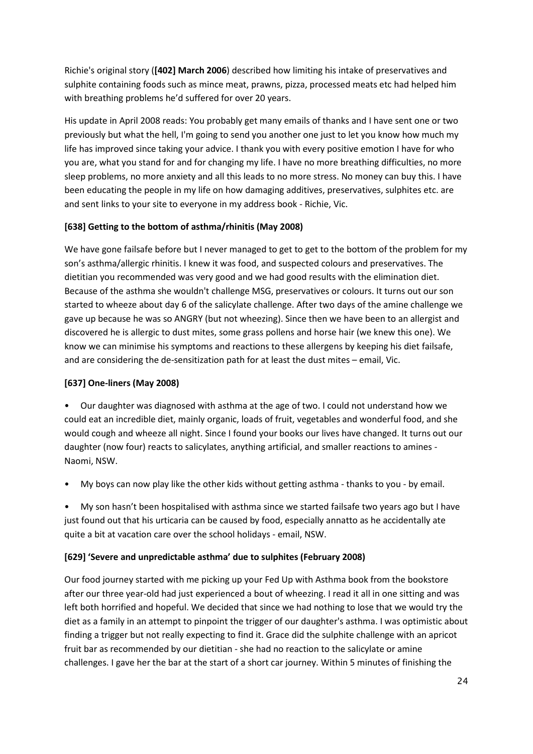Richie's original story (**[402] March 2006**) described how limiting his intake of preservatives and sulphite containing foods such as mince meat, prawns, pizza, processed meats etc had helped him with breathing problems he'd suffered for over 20 years.

His update in April 2008 reads: You probably get many emails of thanks and I have sent one or two previously but what the hell, I'm going to send you another one just to let you know how much my life has improved since taking your advice. I thank you with every positive emotion I have for who you are, what you stand for and for changing my life. I have no more breathing difficulties, no more sleep problems, no more anxiety and all this leads to no more stress. No money can buy this. I have been educating the people in my life on how damaging additives, preservatives, sulphites etc. are and sent links to your site to everyone in my address book - Richie, Vic.

#### **[638] Getting to the bottom of asthma/rhinitis (May 2008)**

We have gone failsafe before but I never managed to get to get to the bottom of the problem for my son's asthma/allergic rhinitis. I knew it was food, and suspected colours and preservatives. The dietitian you recommended was very good and we had good results with the elimination diet. Because of the asthma she wouldn't challenge MSG, preservatives or colours. It turns out our son started to wheeze about day 6 of the salicylate challenge. After two days of the amine challenge we gave up because he was so ANGRY (but not wheezing). Since then we have been to an allergist and discovered he is allergic to dust mites, some grass pollens and horse hair (we knew this one). We know we can minimise his symptoms and reactions to these allergens by keeping his diet failsafe, and are considering the de-sensitization path for at least the dust mites – email, Vic.

#### **[637] One-liners (May 2008)**

• Our daughter was diagnosed with asthma at the age of two. I could not understand how we could eat an incredible diet, mainly organic, loads of fruit, vegetables and wonderful food, and she would cough and wheeze all night. Since I found your books our lives have changed. It turns out our daughter (now four) reacts to salicylates, anything artificial, and smaller reactions to amines - Naomi, NSW.

• My boys can now play like the other kids without getting asthma - thanks to you - by email.

• My son hasn't been hospitalised with asthma since we started failsafe two years ago but I have just found out that his urticaria can be caused by food, especially annatto as he accidentally ate quite a bit at vacation care over the school holidays - email, NSW.

#### **[629] 'Severe and unpredictable asthma' due to sulphites (February 2008)**

Our food journey started with me picking up your Fed Up with Asthma book from the bookstore after our three year-old had just experienced a bout of wheezing. I read it all in one sitting and was left both horrified and hopeful. We decided that since we had nothing to lose that we would try the diet as a family in an attempt to pinpoint the trigger of our daughter's asthma. I was optimistic about finding a trigger but not really expecting to find it. Grace did the sulphite challenge with an apricot fruit bar as recommended by our dietitian - she had no reaction to the salicylate or amine challenges. I gave her the bar at the start of a short car journey. Within 5 minutes of finishing the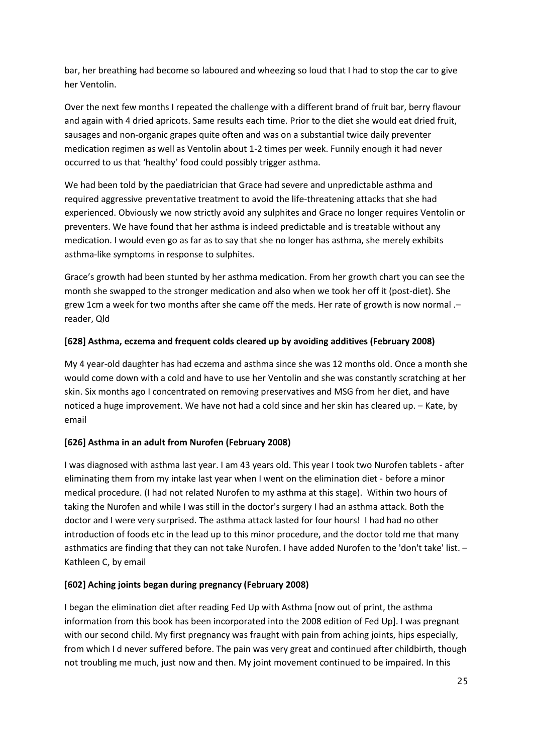bar, her breathing had become so laboured and wheezing so loud that I had to stop the car to give her Ventolin.

Over the next few months I repeated the challenge with a different brand of fruit bar, berry flavour and again with 4 dried apricots. Same results each time. Prior to the diet she would eat dried fruit, sausages and non-organic grapes quite often and was on a substantial twice daily preventer medication regimen as well as Ventolin about 1-2 times per week. Funnily enough it had never occurred to us that 'healthy' food could possibly trigger asthma.

We had been told by the paediatrician that Grace had severe and unpredictable asthma and required aggressive preventative treatment to avoid the life-threatening attacks that she had experienced. Obviously we now strictly avoid any sulphites and Grace no longer requires Ventolin or preventers. We have found that her asthma is indeed predictable and is treatable without any medication. I would even go as far as to say that she no longer has asthma, she merely exhibits asthma-like symptoms in response to sulphites.

Grace's growth had been stunted by her asthma medication. From her growth chart you can see the month she swapped to the stronger medication and also when we took her off it (post-diet). She grew 1cm a week for two months after she came off the meds. Her rate of growth is now normal .– reader, Qld

#### **[628] Asthma, eczema and frequent colds cleared up by avoiding additives (February 2008)**

My 4 year-old daughter has had eczema and asthma since she was 12 months old. Once a month she would come down with a cold and have to use her Ventolin and she was constantly scratching at her skin. Six months ago I concentrated on removing preservatives and MSG from her diet, and have noticed a huge improvement. We have not had a cold since and her skin has cleared up. – Kate, by email

## **[626] Asthma in an adult from Nurofen (February 2008)**

I was diagnosed with asthma last year. I am 43 years old. This year I took two Nurofen tablets - after eliminating them from my intake last year when I went on the elimination diet - before a minor medical procedure. (I had not related Nurofen to my asthma at this stage). Within two hours of taking the Nurofen and while I was still in the doctor's surgery I had an asthma attack. Both the doctor and I were very surprised. The asthma attack lasted for four hours! I had had no other introduction of foods etc in the lead up to this minor procedure, and the doctor told me that many asthmatics are finding that they can not take Nurofen. I have added Nurofen to the 'don't take' list. – Kathleen C, by email

#### **[602] Aching joints began during pregnancy (February 2008)**

I began the elimination diet after reading Fed Up with Asthma [now out of print, the asthma information from this book has been incorporated into the 2008 edition of Fed Up]. I was pregnant with our second child. My first pregnancy was fraught with pain from aching joints, hips especially, from which I d never suffered before. The pain was very great and continued after childbirth, though not troubling me much, just now and then. My joint movement continued to be impaired. In this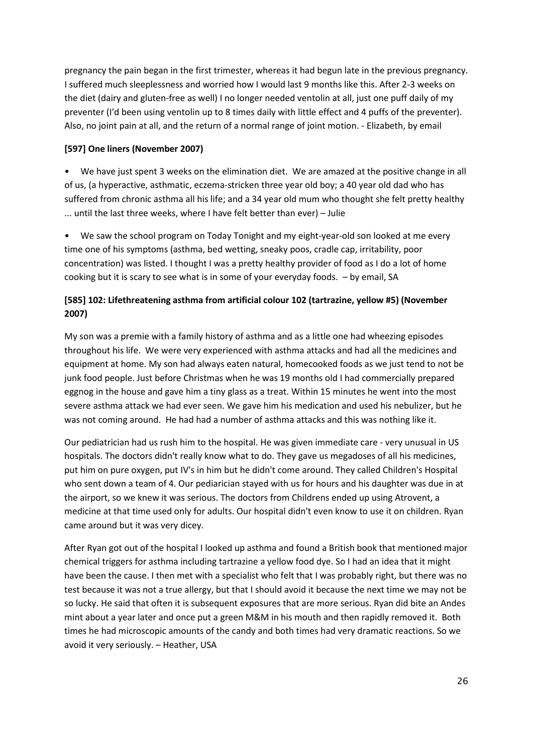pregnancy the pain began in the first trimester, whereas it had begun late in the previous pregnancy. I suffered much sleeplessness and worried how I would last 9 months like this. After 2-3 weeks on the diet (dairy and gluten-free as well) I no longer needed ventolin at all, just one puff daily of my preventer (I'd been using ventolin up to 8 times daily with little effect and 4 puffs of the preventer). Also, no joint pain at all, and the return of a normal range of joint motion. - Elizabeth, by email

#### **[597] One liners (November 2007)**

• We have just spent 3 weeks on the elimination diet. We are amazed at the positive change in all of us, (a hyperactive, asthmatic, eczema-stricken three year old boy; a 40 year old dad who has suffered from chronic asthma all his life; and a 34 year old mum who thought she felt pretty healthy ... until the last three weeks, where I have felt better than ever) – Julie

• We saw the school program on Today Tonight and my eight-year-old son looked at me every time one of his symptoms (asthma, bed wetting, sneaky poos, cradle cap, irritability, poor concentration) was listed. I thought I was a pretty healthy provider of food as I do a lot of home cooking but it is scary to see what is in some of your everyday foods. – by email, SA

## **[585] 102: Lifethreatening asthma from artificial colour 102 (tartrazine, yellow #5) (November 2007)**

My son was a premie with a family history of asthma and as a little one had wheezing episodes throughout his life. We were very experienced with asthma attacks and had all the medicines and equipment at home. My son had always eaten natural, homecooked foods as we just tend to not be junk food people. Just before Christmas when he was 19 months old I had commercially prepared eggnog in the house and gave him a tiny glass as a treat. Within 15 minutes he went into the most severe asthma attack we had ever seen. We gave him his medication and used his nebulizer, but he was not coming around. He had had a number of asthma attacks and this was nothing like it.

Our pediatrician had us rush him to the hospital. He was given immediate care - very unusual in US hospitals. The doctors didn't really know what to do. They gave us megadoses of all his medicines, put him on pure oxygen, put IV's in him but he didn't come around. They called Children's Hospital who sent down a team of 4. Our pediarician stayed with us for hours and his daughter was due in at the airport, so we knew it was serious. The doctors from Childrens ended up using Atrovent, a medicine at that time used only for adults. Our hospital didn't even know to use it on children. Ryan came around but it was very dicey.

After Ryan got out of the hospital I looked up asthma and found a British book that mentioned major chemical triggers for asthma including tartrazine a yellow food dye. So I had an idea that it might have been the cause. I then met with a specialist who felt that I was probably right, but there was no test because it was not a true allergy, but that I should avoid it because the next time we may not be so lucky. He said that often it is subsequent exposures that are more serious. Ryan did bite an Andes mint about a year later and once put a green M&M in his mouth and then rapidly removed it. Both times he had microscopic amounts of the candy and both times had very dramatic reactions. So we avoid it very seriously. – Heather, USA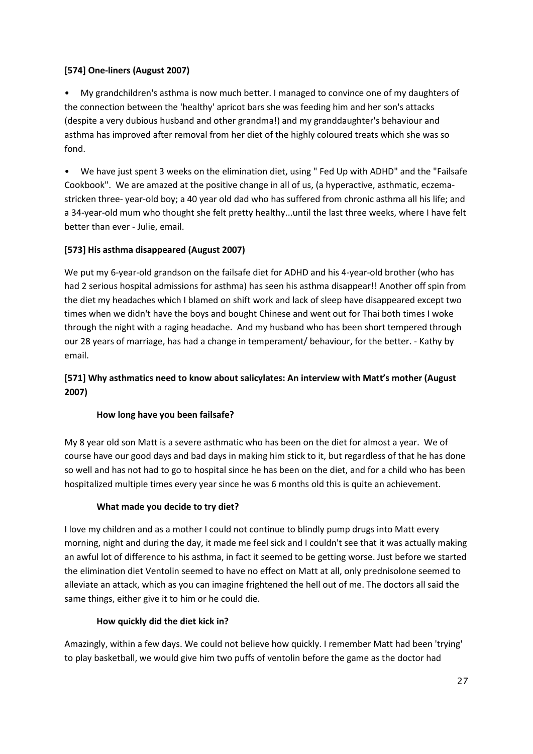#### **[574] One-liners (August 2007)**

• My grandchildren's asthma is now much better. I managed to convince one of my daughters of the connection between the 'healthy' apricot bars she was feeding him and her son's attacks (despite a very dubious husband and other grandma!) and my granddaughter's behaviour and asthma has improved after removal from her diet of the highly coloured treats which she was so fond.

• We have just spent 3 weeks on the elimination diet, using " Fed Up with ADHD" and the "Failsafe Cookbook". We are amazed at the positive change in all of us, (a hyperactive, asthmatic, eczemastricken three- year-old boy; a 40 year old dad who has suffered from chronic asthma all his life; and a 34-year-old mum who thought she felt pretty healthy...until the last three weeks, where I have felt better than ever - Julie, email.

#### **[573] His asthma disappeared (August 2007)**

We put my 6-year-old grandson on the failsafe diet for ADHD and his 4-year-old brother (who has had 2 serious hospital admissions for asthma) has seen his asthma disappear!! Another off spin from the diet my headaches which I blamed on shift work and lack of sleep have disappeared except two times when we didn't have the boys and bought Chinese and went out for Thai both times I woke through the night with a raging headache. And my husband who has been short tempered through our 28 years of marriage, has had a change in temperament/ behaviour, for the better. - Kathy by email.

## **[571] Why asthmatics need to know about salicylates: An interview with Matt's mother (August 2007)**

## **How long have you been failsafe?**

My 8 year old son Matt is a severe asthmatic who has been on the diet for almost a year. We of course have our good days and bad days in making him stick to it, but regardless of that he has done so well and has not had to go to hospital since he has been on the diet, and for a child who has been hospitalized multiple times every year since he was 6 months old this is quite an achievement.

#### **What made you decide to try diet?**

I love my children and as a mother I could not continue to blindly pump drugs into Matt every morning, night and during the day, it made me feel sick and I couldn't see that it was actually making an awful lot of difference to his asthma, in fact it seemed to be getting worse. Just before we started the elimination diet Ventolin seemed to have no effect on Matt at all, only prednisolone seemed to alleviate an attack, which as you can imagine frightened the hell out of me. The doctors all said the same things, either give it to him or he could die.

#### **How quickly did the diet kick in?**

Amazingly, within a few days. We could not believe how quickly. I remember Matt had been 'trying' to play basketball, we would give him two puffs of ventolin before the game as the doctor had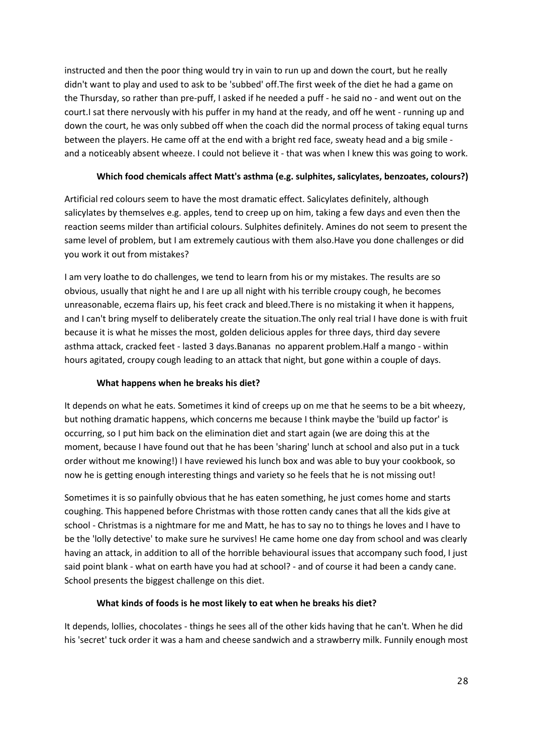instructed and then the poor thing would try in vain to run up and down the court, but he really didn't want to play and used to ask to be 'subbed' off.The first week of the diet he had a game on the Thursday, so rather than pre-puff, I asked if he needed a puff - he said no - and went out on the court.I sat there nervously with his puffer in my hand at the ready, and off he went - running up and down the court, he was only subbed off when the coach did the normal process of taking equal turns between the players. He came off at the end with a bright red face, sweaty head and a big smile and a noticeably absent wheeze. I could not believe it - that was when I knew this was going to work.

#### **Which food chemicals affect Matt's asthma (e.g. sulphites, salicylates, benzoates, colours?)**

Artificial red colours seem to have the most dramatic effect. Salicylates definitely, although salicylates by themselves e.g. apples, tend to creep up on him, taking a few days and even then the reaction seems milder than artificial colours. Sulphites definitely. Amines do not seem to present the same level of problem, but I am extremely cautious with them also.Have you done challenges or did you work it out from mistakes?

I am very loathe to do challenges, we tend to learn from his or my mistakes. The results are so obvious, usually that night he and I are up all night with his terrible croupy cough, he becomes unreasonable, eczema flairs up, his feet crack and bleed.There is no mistaking it when it happens, and I can't bring myself to deliberately create the situation.The only real trial I have done is with fruit because it is what he misses the most, golden delicious apples for three days, third day severe asthma attack, cracked feet - lasted 3 days.Bananas no apparent problem.Half a mango - within hours agitated, croupy cough leading to an attack that night, but gone within a couple of days.

#### **What happens when he breaks his diet?**

It depends on what he eats. Sometimes it kind of creeps up on me that he seems to be a bit wheezy, but nothing dramatic happens, which concerns me because I think maybe the 'build up factor' is occurring, so I put him back on the elimination diet and start again (we are doing this at the moment, because I have found out that he has been 'sharing' lunch at school and also put in a tuck order without me knowing!) I have reviewed his lunch box and was able to buy your cookbook, so now he is getting enough interesting things and variety so he feels that he is not missing out!

Sometimes it is so painfully obvious that he has eaten something, he just comes home and starts coughing. This happened before Christmas with those rotten candy canes that all the kids give at school - Christmas is a nightmare for me and Matt, he has to say no to things he loves and I have to be the 'lolly detective' to make sure he survives! He came home one day from school and was clearly having an attack, in addition to all of the horrible behavioural issues that accompany such food, I just said point blank - what on earth have you had at school? - and of course it had been a candy cane. School presents the biggest challenge on this diet.

#### **What kinds of foods is he most likely to eat when he breaks his diet?**

It depends, lollies, chocolates - things he sees all of the other kids having that he can't. When he did his 'secret' tuck order it was a ham and cheese sandwich and a strawberry milk. Funnily enough most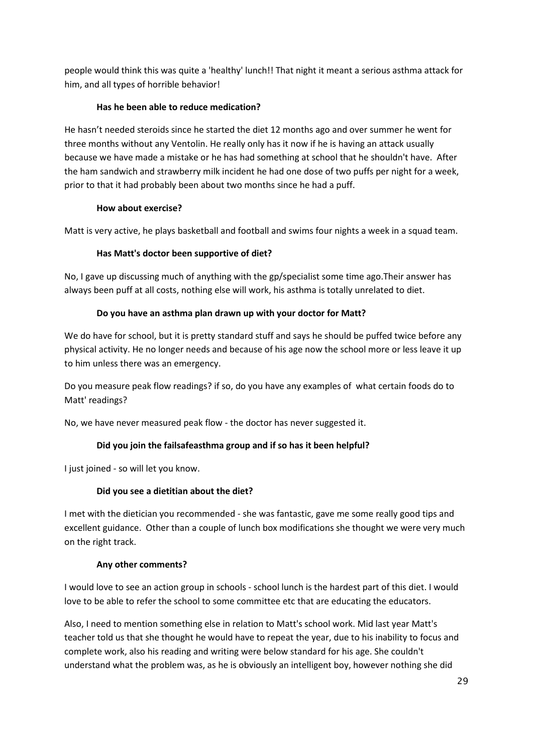people would think this was quite a 'healthy' lunch!! That night it meant a serious asthma attack for him, and all types of horrible behavior!

#### **Has he been able to reduce medication?**

He hasn't needed steroids since he started the diet 12 months ago and over summer he went for three months without any Ventolin. He really only has it now if he is having an attack usually because we have made a mistake or he has had something at school that he shouldn't have. After the ham sandwich and strawberry milk incident he had one dose of two puffs per night for a week, prior to that it had probably been about two months since he had a puff.

#### **How about exercise?**

Matt is very active, he plays basketball and football and swims four nights a week in a squad team.

#### **Has Matt's doctor been supportive of diet?**

No, I gave up discussing much of anything with the gp/specialist some time ago.Their answer has always been puff at all costs, nothing else will work, his asthma is totally unrelated to diet.

#### **Do you have an asthma plan drawn up with your doctor for Matt?**

We do have for school, but it is pretty standard stuff and says he should be puffed twice before any physical activity. He no longer needs and because of his age now the school more or less leave it up to him unless there was an emergency.

Do you measure peak flow readings? if so, do you have any examples of what certain foods do to Matt' readings?

No, we have never measured peak flow - the doctor has never suggested it.

## **Did you join the failsafeasthma group and if so has it been helpful?**

I just joined - so will let you know.

#### **Did you see a dietitian about the diet?**

I met with the dietician you recommended - she was fantastic, gave me some really good tips and excellent guidance. Other than a couple of lunch box modifications she thought we were very much on the right track.

#### **Any other comments?**

I would love to see an action group in schools - school lunch is the hardest part of this diet. I would love to be able to refer the school to some committee etc that are educating the educators.

Also, I need to mention something else in relation to Matt's school work. Mid last year Matt's teacher told us that she thought he would have to repeat the year, due to his inability to focus and complete work, also his reading and writing were below standard for his age. She couldn't understand what the problem was, as he is obviously an intelligent boy, however nothing she did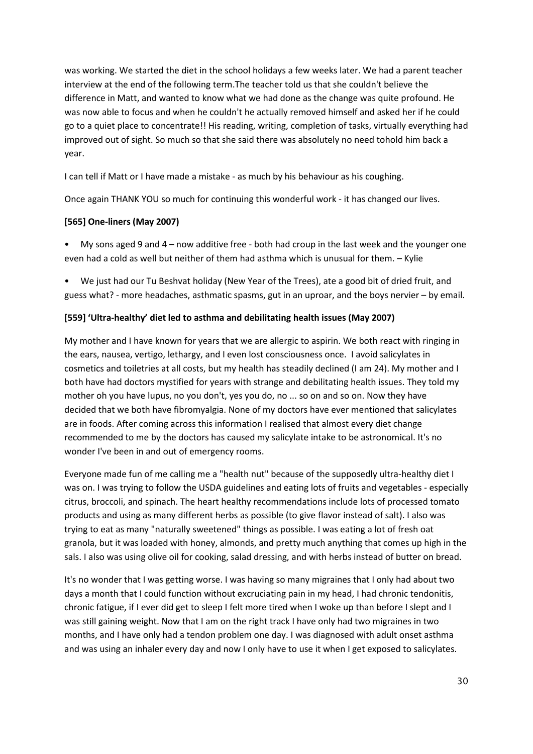was working. We started the diet in the school holidays a few weeks later. We had a parent teacher interview at the end of the following term.The teacher told us that she couldn't believe the difference in Matt, and wanted to know what we had done as the change was quite profound. He was now able to focus and when he couldn't he actually removed himself and asked her if he could go to a quiet place to concentrate!! His reading, writing, completion of tasks, virtually everything had improved out of sight. So much so that she said there was absolutely no need tohold him back a year.

I can tell if Matt or I have made a mistake - as much by his behaviour as his coughing.

Once again THANK YOU so much for continuing this wonderful work - it has changed our lives.

#### **[565] One-liners (May 2007)**

- My sons aged 9 and 4 now additive free both had croup in the last week and the younger one even had a cold as well but neither of them had asthma which is unusual for them. – Kylie
- We just had our Tu Beshvat holiday (New Year of the Trees), ate a good bit of dried fruit, and guess what? - more headaches, asthmatic spasms, gut in an uproar, and the boys nervier – by email.

#### **[559] 'Ultra-healthy' diet led to asthma and debilitating health issues (May 2007)**

My mother and I have known for years that we are allergic to aspirin. We both react with ringing in the ears, nausea, vertigo, lethargy, and I even lost consciousness once. I avoid salicylates in cosmetics and toiletries at all costs, but my health has steadily declined (I am 24). My mother and I both have had doctors mystified for years with strange and debilitating health issues. They told my mother oh you have lupus, no you don't, yes you do, no ... so on and so on. Now they have decided that we both have fibromyalgia. None of my doctors have ever mentioned that salicylates are in foods. After coming across this information I realised that almost every diet change recommended to me by the doctors has caused my salicylate intake to be astronomical. It's no wonder I've been in and out of emergency rooms.

Everyone made fun of me calling me a "health nut" because of the supposedly ultra-healthy diet I was on. I was trying to follow the USDA guidelines and eating lots of fruits and vegetables - especially citrus, broccoli, and spinach. The heart healthy recommendations include lots of processed tomato products and using as many different herbs as possible (to give flavor instead of salt). I also was trying to eat as many "naturally sweetened" things as possible. I was eating a lot of fresh oat granola, but it was loaded with honey, almonds, and pretty much anything that comes up high in the sals. I also was using olive oil for cooking, salad dressing, and with herbs instead of butter on bread.

It's no wonder that I was getting worse. I was having so many migraines that I only had about two days a month that I could function without excruciating pain in my head, I had chronic tendonitis, chronic fatigue, if I ever did get to sleep I felt more tired when I woke up than before I slept and I was still gaining weight. Now that I am on the right track I have only had two migraines in two months, and I have only had a tendon problem one day. I was diagnosed with adult onset asthma and was using an inhaler every day and now I only have to use it when I get exposed to salicylates.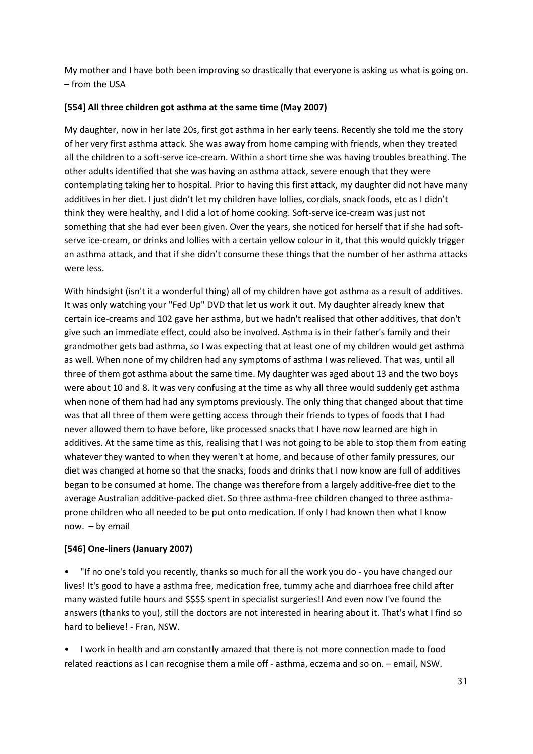My mother and I have both been improving so drastically that everyone is asking us what is going on. – from the USA

#### **[554] All three children got asthma at the same time (May 2007)**

My daughter, now in her late 20s, first got asthma in her early teens. Recently she told me the story of her very first asthma attack. She was away from home camping with friends, when they treated all the children to a soft-serve ice-cream. Within a short time she was having troubles breathing. The other adults identified that she was having an asthma attack, severe enough that they were contemplating taking her to hospital. Prior to having this first attack, my daughter did not have many additives in her diet. I just didn't let my children have lollies, cordials, snack foods, etc as I didn't think they were healthy, and I did a lot of home cooking. Soft-serve ice-cream was just not something that she had ever been given. Over the years, she noticed for herself that if she had softserve ice-cream, or drinks and lollies with a certain yellow colour in it, that this would quickly trigger an asthma attack, and that if she didn't consume these things that the number of her asthma attacks were less.

With hindsight (isn't it a wonderful thing) all of my children have got asthma as a result of additives. It was only watching your "Fed Up" DVD that let us work it out. My daughter already knew that certain ice-creams and 102 gave her asthma, but we hadn't realised that other additives, that don't give such an immediate effect, could also be involved. Asthma is in their father's family and their grandmother gets bad asthma, so I was expecting that at least one of my children would get asthma as well. When none of my children had any symptoms of asthma I was relieved. That was, until all three of them got asthma about the same time. My daughter was aged about 13 and the two boys were about 10 and 8. It was very confusing at the time as why all three would suddenly get asthma when none of them had had any symptoms previously. The only thing that changed about that time was that all three of them were getting access through their friends to types of foods that I had never allowed them to have before, like processed snacks that I have now learned are high in additives. At the same time as this, realising that I was not going to be able to stop them from eating whatever they wanted to when they weren't at home, and because of other family pressures, our diet was changed at home so that the snacks, foods and drinks that I now know are full of additives began to be consumed at home. The change was therefore from a largely additive-free diet to the average Australian additive-packed diet. So three asthma-free children changed to three asthmaprone children who all needed to be put onto medication. If only I had known then what I know now. – by email

#### **[546] One-liners (January 2007)**

• "If no one's told you recently, thanks so much for all the work you do - you have changed our lives! It's good to have a asthma free, medication free, tummy ache and diarrhoea free child after many wasted futile hours and \$\$\$\$ spent in specialist surgeries!! And even now I've found the answers (thanks to you), still the doctors are not interested in hearing about it. That's what I find so hard to believe! - Fran, NSW.

• I work in health and am constantly amazed that there is not more connection made to food related reactions as I can recognise them a mile off - asthma, eczema and so on. – email, NSW.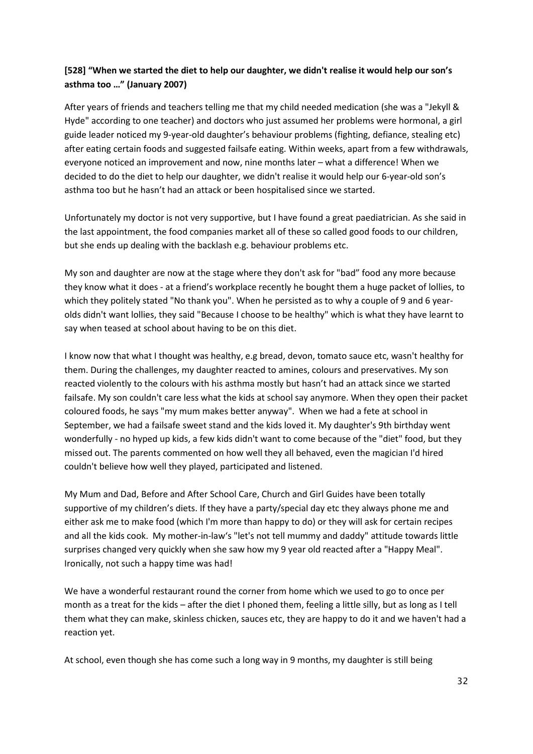## **[528] "When we started the diet to help our daughter, we didn't realise it would help our son's asthma too …" (January 2007)**

After years of friends and teachers telling me that my child needed medication (she was a "Jekyll & Hyde" according to one teacher) and doctors who just assumed her problems were hormonal, a girl guide leader noticed my 9-year-old daughter's behaviour problems (fighting, defiance, stealing etc) after eating certain foods and suggested failsafe eating. Within weeks, apart from a few withdrawals, everyone noticed an improvement and now, nine months later – what a difference! When we decided to do the diet to help our daughter, we didn't realise it would help our 6-year-old son's asthma too but he hasn't had an attack or been hospitalised since we started.

Unfortunately my doctor is not very supportive, but I have found a great paediatrician. As she said in the last appointment, the food companies market all of these so called good foods to our children, but she ends up dealing with the backlash e.g. behaviour problems etc.

My son and daughter are now at the stage where they don't ask for "bad" food any more because they know what it does - at a friend's workplace recently he bought them a huge packet of lollies, to which they politely stated "No thank you". When he persisted as to why a couple of 9 and 6 yearolds didn't want lollies, they said "Because I choose to be healthy" which is what they have learnt to say when teased at school about having to be on this diet.

I know now that what I thought was healthy, e.g bread, devon, tomato sauce etc, wasn't healthy for them. During the challenges, my daughter reacted to amines, colours and preservatives. My son reacted violently to the colours with his asthma mostly but hasn't had an attack since we started failsafe. My son couldn't care less what the kids at school say anymore. When they open their packet coloured foods, he says "my mum makes better anyway". When we had a fete at school in September, we had a failsafe sweet stand and the kids loved it. My daughter's 9th birthday went wonderfully - no hyped up kids, a few kids didn't want to come because of the "diet" food, but they missed out. The parents commented on how well they all behaved, even the magician I'd hired couldn't believe how well they played, participated and listened.

My Mum and Dad, Before and After School Care, Church and Girl Guides have been totally supportive of my children's diets. If they have a party/special day etc they always phone me and either ask me to make food (which I'm more than happy to do) or they will ask for certain recipes and all the kids cook. My mother-in-law's "let's not tell mummy and daddy" attitude towards little surprises changed very quickly when she saw how my 9 year old reacted after a "Happy Meal". Ironically, not such a happy time was had!

We have a wonderful restaurant round the corner from home which we used to go to once per month as a treat for the kids – after the diet I phoned them, feeling a little silly, but as long as I tell them what they can make, skinless chicken, sauces etc, they are happy to do it and we haven't had a reaction yet.

At school, even though she has come such a long way in 9 months, my daughter is still being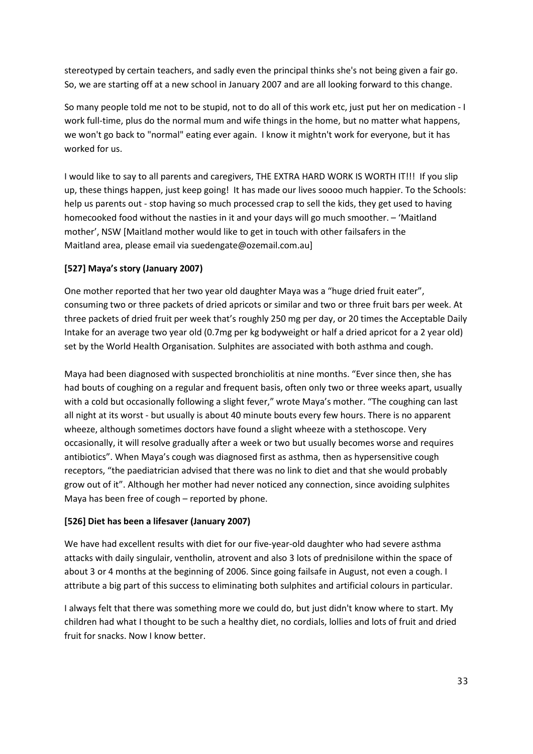stereotyped by certain teachers, and sadly even the principal thinks she's not being given a fair go. So, we are starting off at a new school in January 2007 and are all looking forward to this change.

So many people told me not to be stupid, not to do all of this work etc, just put her on medication - I work full-time, plus do the normal mum and wife things in the home, but no matter what happens, we won't go back to "normal" eating ever again. I know it mightn't work for everyone, but it has worked for us.

I would like to say to all parents and caregivers, THE EXTRA HARD WORK IS WORTH IT!!! If you slip up, these things happen, just keep going! It has made our lives soooo much happier. To the Schools: help us parents out - stop having so much processed crap to sell the kids, they get used to having homecooked food without the nasties in it and your days will go much smoother. – 'Maitland mother', NSW [Maitland mother would like to get in touch with other failsafers in the Maitland area, please email via suedengate@ozemail.com.au]

#### **[527] Maya's story (January 2007)**

One mother reported that her two year old daughter Maya was a "huge dried fruit eater", consuming two or three packets of dried apricots or similar and two or three fruit bars per week. At three packets of dried fruit per week that's roughly 250 mg per day, or 20 times the Acceptable Daily Intake for an average two year old (0.7mg per kg bodyweight or half a dried apricot for a 2 year old) set by the World Health Organisation. Sulphites are associated with both asthma and cough.

Maya had been diagnosed with suspected bronchiolitis at nine months. "Ever since then, she has had bouts of coughing on a regular and frequent basis, often only two or three weeks apart, usually with a cold but occasionally following a slight fever," wrote Maya's mother. "The coughing can last all night at its worst - but usually is about 40 minute bouts every few hours. There is no apparent wheeze, although sometimes doctors have found a slight wheeze with a stethoscope. Very occasionally, it will resolve gradually after a week or two but usually becomes worse and requires antibiotics". When Maya's cough was diagnosed first as asthma, then as hypersensitive cough receptors, "the paediatrician advised that there was no link to diet and that she would probably grow out of it". Although her mother had never noticed any connection, since avoiding sulphites Maya has been free of cough – reported by phone.

#### **[526] Diet has been a lifesaver (January 2007)**

We have had excellent results with diet for our five-year-old daughter who had severe asthma attacks with daily singulair, ventholin, atrovent and also 3 lots of prednisilone within the space of about 3 or 4 months at the beginning of 2006. Since going failsafe in August, not even a cough. I attribute a big part of this success to eliminating both sulphites and artificial colours in particular.

I always felt that there was something more we could do, but just didn't know where to start. My children had what I thought to be such a healthy diet, no cordials, lollies and lots of fruit and dried fruit for snacks. Now I know better.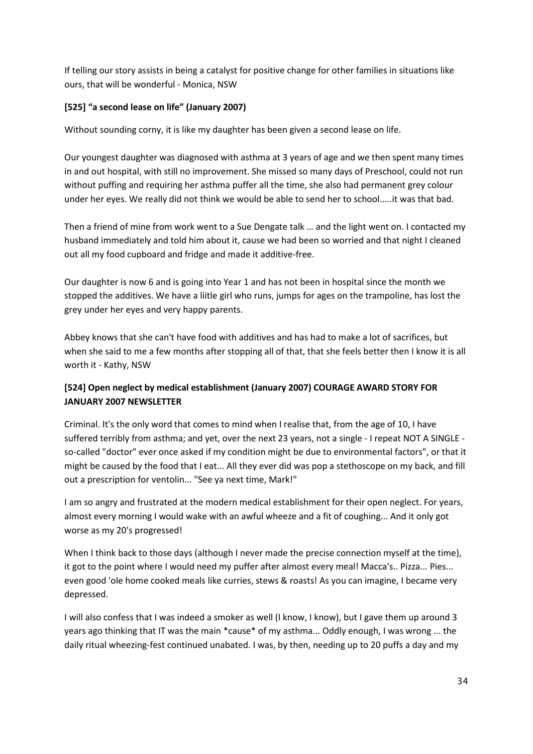If telling our story assists in being a catalyst for positive change for other families in situations like ours, that will be wonderful - Monica, NSW

#### **[525] "a second lease on life" (January 2007)**

Without sounding corny, it is like my daughter has been given a second lease on life.

Our youngest daughter was diagnosed with asthma at 3 years of age and we then spent many times in and out hospital, with still no improvement. She missed so many days of Preschool, could not run without puffing and requiring her asthma puffer all the time, she also had permanent grey colour under her eyes. We really did not think we would be able to send her to school.....it was that bad.

Then a friend of mine from work went to a Sue Dengate talk … and the light went on. I contacted my husband immediately and told him about it, cause we had been so worried and that night I cleaned out all my food cupboard and fridge and made it additive-free.

Our daughter is now 6 and is going into Year 1 and has not been in hospital since the month we stopped the additives. We have a liitle girl who runs, jumps for ages on the trampoline, has lost the grey under her eyes and very happy parents.

Abbey knows that she can't have food with additives and has had to make a lot of sacrifices, but when she said to me a few months after stopping all of that, that she feels better then I know it is all worth it - Kathy, NSW

## **[524] Open neglect by medical establishment (January 2007) COURAGE AWARD STORY FOR JANUARY 2007 NEWSLETTER**

Criminal. It's the only word that comes to mind when I realise that, from the age of 10, I have suffered terribly from asthma; and yet, over the next 23 years, not a single - I repeat NOT A SINGLE so-called "doctor" ever once asked if my condition might be due to environmental factors", or that it might be caused by the food that I eat... All they ever did was pop a stethoscope on my back, and fill out a prescription for ventolin... "See ya next time, Mark!"

I am so angry and frustrated at the modern medical establishment for their open neglect. For years, almost every morning I would wake with an awful wheeze and a fit of coughing... And it only got worse as my 20's progressed!

When I think back to those days (although I never made the precise connection myself at the time), it got to the point where I would need my puffer after almost every meal! Macca's.. Pizza... Pies... even good 'ole home cooked meals like curries, stews & roasts! As you can imagine, I became very depressed.

I will also confess that I was indeed a smoker as well (I know, I know), but I gave them up around 3 years ago thinking that IT was the main \*cause\* of my asthma... Oddly enough, I was wrong ... the daily ritual wheezing-fest continued unabated. I was, by then, needing up to 20 puffs a day and my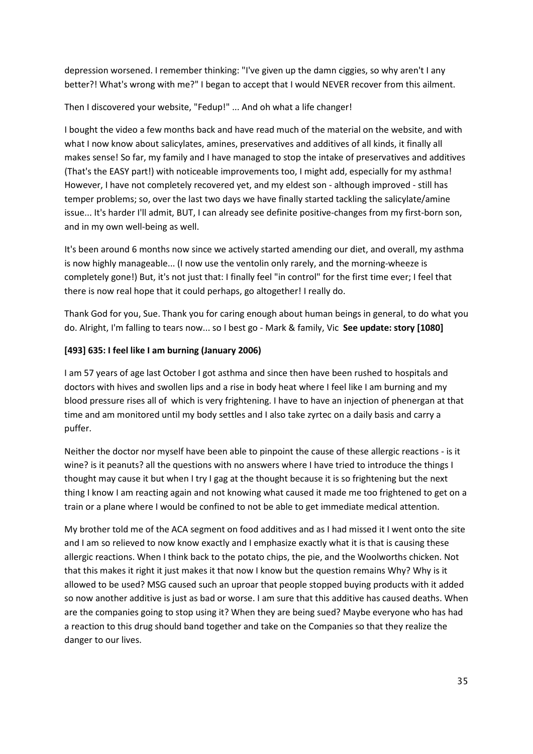depression worsened. I remember thinking: "I've given up the damn ciggies, so why aren't I any better?! What's wrong with me?" I began to accept that I would NEVER recover from this ailment.

Then I discovered your website, "Fedup!" ... And oh what a life changer!

I bought the video a few months back and have read much of the material on the website, and with what I now know about salicylates, amines, preservatives and additives of all kinds, it finally all makes sense! So far, my family and I have managed to stop the intake of preservatives and additives (That's the EASY part!) with noticeable improvements too, I might add, especially for my asthma! However, I have not completely recovered yet, and my eldest son - although improved - still has temper problems; so, over the last two days we have finally started tackling the salicylate/amine issue... It's harder I'll admit, BUT, I can already see definite positive-changes from my first-born son, and in my own well-being as well.

It's been around 6 months now since we actively started amending our diet, and overall, my asthma is now highly manageable... (I now use the ventolin only rarely, and the morning-wheeze is completely gone!) But, it's not just that: I finally feel "in control" for the first time ever; I feel that there is now real hope that it could perhaps, go altogether! I really do.

Thank God for you, Sue. Thank you for caring enough about human beings in general, to do what you do. Alright, I'm falling to tears now... so I best go - Mark & family, Vic **See update: story [1080]**

#### **[493] 635: I feel like I am burning (January 2006)**

I am 57 years of age last October I got asthma and since then have been rushed to hospitals and doctors with hives and swollen lips and a rise in body heat where I feel like I am burning and my blood pressure rises all of which is very frightening. I have to have an injection of phenergan at that time and am monitored until my body settles and I also take zyrtec on a daily basis and carry a puffer.

Neither the doctor nor myself have been able to pinpoint the cause of these allergic reactions - is it wine? is it peanuts? all the questions with no answers where I have tried to introduce the things I thought may cause it but when I try I gag at the thought because it is so frightening but the next thing I know I am reacting again and not knowing what caused it made me too frightened to get on a train or a plane where I would be confined to not be able to get immediate medical attention.

My brother told me of the ACA segment on food additives and as I had missed it I went onto the site and I am so relieved to now know exactly and I emphasize exactly what it is that is causing these allergic reactions. When I think back to the potato chips, the pie, and the Woolworths chicken. Not that this makes it right it just makes it that now I know but the question remains Why? Why is it allowed to be used? MSG caused such an uproar that people stopped buying products with it added so now another additive is just as bad or worse. I am sure that this additive has caused deaths. When are the companies going to stop using it? When they are being sued? Maybe everyone who has had a reaction to this drug should band together and take on the Companies so that they realize the danger to our lives.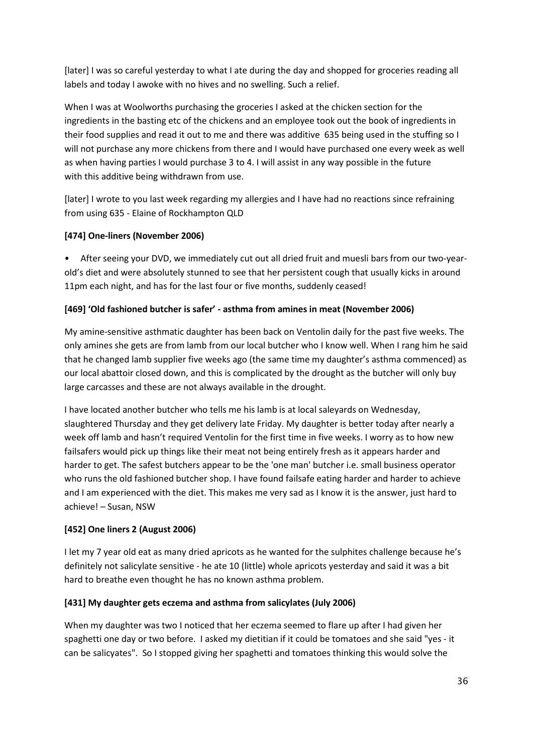[later] I was so careful yesterday to what I ate during the day and shopped for groceries reading all labels and today I awoke with no hives and no swelling. Such a relief.

When I was at Woolworths purchasing the groceries I asked at the chicken section for the ingredients in the basting etc of the chickens and an employee took out the book of ingredients in their food supplies and read it out to me and there was additive 635 being used in the stuffing so I will not purchase any more chickens from there and I would have purchased one every week as well as when having parties I would purchase 3 to 4. I will assist in any way possible in the future with this additive being withdrawn from use.

[later] I wrote to you last week regarding my allergies and I have had no reactions since refraining from using 635 - Elaine of Rockhampton QLD

## **[474] One-liners (November 2006)**

• After seeing your DVD, we immediately cut out all dried fruit and muesli bars from our two-yearold's diet and were absolutely stunned to see that her persistent cough that usually kicks in around 11pm each night, and has for the last four or five months, suddenly ceased!

#### **[469] 'Old fashioned butcher is safer' - asthma from amines in meat (November 2006)**

My amine-sensitive asthmatic daughter has been back on Ventolin daily for the past five weeks. The only amines she gets are from lamb from our local butcher who I know well. When I rang him he said that he changed lamb supplier five weeks ago (the same time my daughter's asthma commenced) as our local abattoir closed down, and this is complicated by the drought as the butcher will only buy large carcasses and these are not always available in the drought.

I have located another butcher who tells me his lamb is at local saleyards on Wednesday, slaughtered Thursday and they get delivery late Friday. My daughter is better today after nearly a week off lamb and hasn't required Ventolin for the first time in five weeks. I worry as to how new failsafers would pick up things like their meat not being entirely fresh as it appears harder and harder to get. The safest butchers appear to be the 'one man' butcher i.e. small business operator who runs the old fashioned butcher shop. I have found failsafe eating harder and harder to achieve and I am experienced with the diet. This makes me very sad as I know it is the answer, just hard to achieve! – Susan, NSW

#### **[452] One liners 2 (August 2006)**

I let my 7 year old eat as many dried apricots as he wanted for the sulphites challenge because he's definitely not salicylate sensitive - he ate 10 (little) whole apricots yesterday and said it was a bit hard to breathe even thought he has no known asthma problem.

#### **[431] My daughter gets eczema and asthma from salicylates (July 2006)**

When my daughter was two I noticed that her eczema seemed to flare up after I had given her spaghetti one day or two before. I asked my dietitian if it could be tomatoes and she said "yes - it can be salicyates". So I stopped giving her spaghetti and tomatoes thinking this would solve the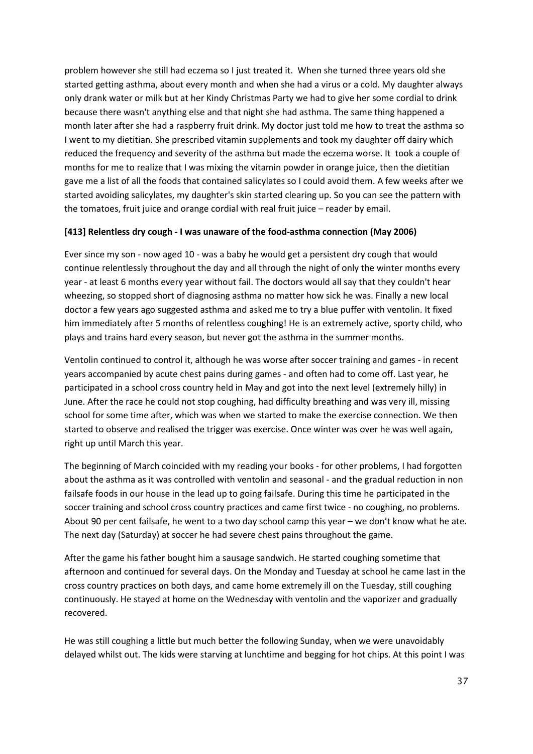problem however she still had eczema so I just treated it. When she turned three years old she started getting asthma, about every month and when she had a virus or a cold. My daughter always only drank water or milk but at her Kindy Christmas Party we had to give her some cordial to drink because there wasn't anything else and that night she had asthma. The same thing happened a month later after she had a raspberry fruit drink. My doctor just told me how to treat the asthma so I went to my dietitian. She prescribed vitamin supplements and took my daughter off dairy which reduced the frequency and severity of the asthma but made the eczema worse. It took a couple of months for me to realize that I was mixing the vitamin powder in orange juice, then the dietitian gave me a list of all the foods that contained salicylates so I could avoid them. A few weeks after we started avoiding salicylates, my daughter's skin started clearing up. So you can see the pattern with the tomatoes, fruit juice and orange cordial with real fruit juice – reader by email.

#### **[413] Relentless dry cough - I was unaware of the food-asthma connection (May 2006)**

Ever since my son - now aged 10 - was a baby he would get a persistent dry cough that would continue relentlessly throughout the day and all through the night of only the winter months every year - at least 6 months every year without fail. The doctors would all say that they couldn't hear wheezing, so stopped short of diagnosing asthma no matter how sick he was. Finally a new local doctor a few years ago suggested asthma and asked me to try a blue puffer with ventolin. It fixed him immediately after 5 months of relentless coughing! He is an extremely active, sporty child, who plays and trains hard every season, but never got the asthma in the summer months.

Ventolin continued to control it, although he was worse after soccer training and games - in recent years accompanied by acute chest pains during games - and often had to come off. Last year, he participated in a school cross country held in May and got into the next level (extremely hilly) in June. After the race he could not stop coughing, had difficulty breathing and was very ill, missing school for some time after, which was when we started to make the exercise connection. We then started to observe and realised the trigger was exercise. Once winter was over he was well again, right up until March this year.

The beginning of March coincided with my reading your books - for other problems, I had forgotten about the asthma as it was controlled with ventolin and seasonal - and the gradual reduction in non failsafe foods in our house in the lead up to going failsafe. During this time he participated in the soccer training and school cross country practices and came first twice - no coughing, no problems. About 90 per cent failsafe, he went to a two day school camp this year – we don't know what he ate. The next day (Saturday) at soccer he had severe chest pains throughout the game.

After the game his father bought him a sausage sandwich. He started coughing sometime that afternoon and continued for several days. On the Monday and Tuesday at school he came last in the cross country practices on both days, and came home extremely ill on the Tuesday, still coughing continuously. He stayed at home on the Wednesday with ventolin and the vaporizer and gradually recovered.

He was still coughing a little but much better the following Sunday, when we were unavoidably delayed whilst out. The kids were starving at lunchtime and begging for hot chips. At this point I was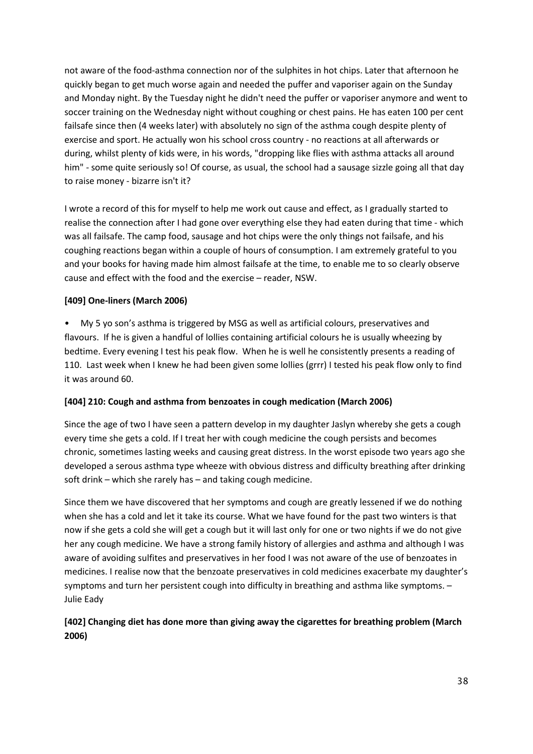not aware of the food-asthma connection nor of the sulphites in hot chips. Later that afternoon he quickly began to get much worse again and needed the puffer and vaporiser again on the Sunday and Monday night. By the Tuesday night he didn't need the puffer or vaporiser anymore and went to soccer training on the Wednesday night without coughing or chest pains. He has eaten 100 per cent failsafe since then (4 weeks later) with absolutely no sign of the asthma cough despite plenty of exercise and sport. He actually won his school cross country - no reactions at all afterwards or during, whilst plenty of kids were, in his words, "dropping like flies with asthma attacks all around him" - some quite seriously so! Of course, as usual, the school had a sausage sizzle going all that day to raise money - bizarre isn't it?

I wrote a record of this for myself to help me work out cause and effect, as I gradually started to realise the connection after I had gone over everything else they had eaten during that time - which was all failsafe. The camp food, sausage and hot chips were the only things not failsafe, and his coughing reactions began within a couple of hours of consumption. I am extremely grateful to you and your books for having made him almost failsafe at the time, to enable me to so clearly observe cause and effect with the food and the exercise – reader, NSW.

#### **[409] One-liners (March 2006)**

• My 5 yo son's asthma is triggered by MSG as well as artificial colours, preservatives and flavours. If he is given a handful of lollies containing artificial colours he is usually wheezing by bedtime. Every evening I test his peak flow. When he is well he consistently presents a reading of 110. Last week when I knew he had been given some lollies (grrr) I tested his peak flow only to find it was around 60.

#### **[404] 210: Cough and asthma from benzoates in cough medication (March 2006)**

Since the age of two I have seen a pattern develop in my daughter Jaslyn whereby she gets a cough every time she gets a cold. If I treat her with cough medicine the cough persists and becomes chronic, sometimes lasting weeks and causing great distress. In the worst episode two years ago she developed a serous asthma type wheeze with obvious distress and difficulty breathing after drinking soft drink – which she rarely has – and taking cough medicine.

Since them we have discovered that her symptoms and cough are greatly lessened if we do nothing when she has a cold and let it take its course. What we have found for the past two winters is that now if she gets a cold she will get a cough but it will last only for one or two nights if we do not give her any cough medicine. We have a strong family history of allergies and asthma and although I was aware of avoiding sulfites and preservatives in her food I was not aware of the use of benzoates in medicines. I realise now that the benzoate preservatives in cold medicines exacerbate my daughter's symptoms and turn her persistent cough into difficulty in breathing and asthma like symptoms. – Julie Eady

## **[402] Changing diet has done more than giving away the cigarettes for breathing problem (March 2006)**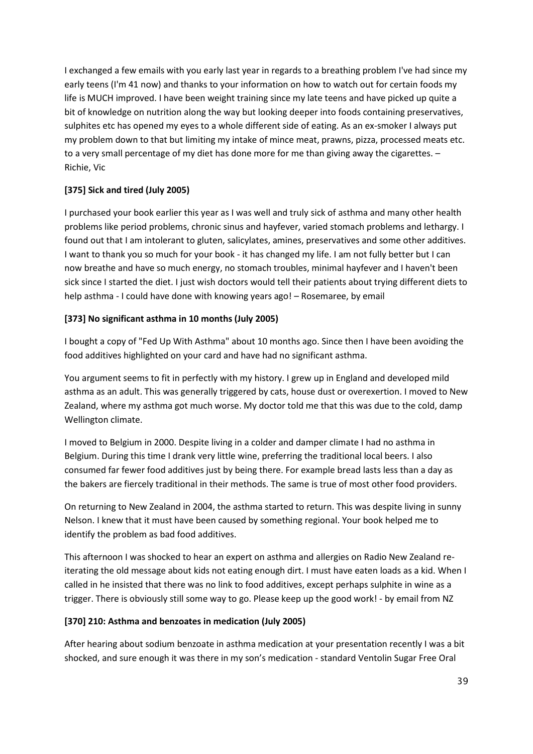I exchanged a few emails with you early last year in regards to a breathing problem I've had since my early teens (I'm 41 now) and thanks to your information on how to watch out for certain foods my life is MUCH improved. I have been weight training since my late teens and have picked up quite a bit of knowledge on nutrition along the way but looking deeper into foods containing preservatives, sulphites etc has opened my eyes to a whole different side of eating. As an ex-smoker I always put my problem down to that but limiting my intake of mince meat, prawns, pizza, processed meats etc. to a very small percentage of my diet has done more for me than giving away the cigarettes. – Richie, Vic

#### **[375] Sick and tired (July 2005)**

I purchased your book earlier this year as I was well and truly sick of asthma and many other health problems like period problems, chronic sinus and hayfever, varied stomach problems and lethargy. I found out that I am intolerant to gluten, salicylates, amines, preservatives and some other additives. I want to thank you so much for your book - it has changed my life. I am not fully better but I can now breathe and have so much energy, no stomach troubles, minimal hayfever and I haven't been sick since I started the diet. I just wish doctors would tell their patients about trying different diets to help asthma - I could have done with knowing years ago! – Rosemaree, by email

#### **[373] No significant asthma in 10 months (July 2005)**

I bought a copy of "Fed Up With Asthma" about 10 months ago. Since then I have been avoiding the food additives highlighted on your card and have had no significant asthma.

You argument seems to fit in perfectly with my history. I grew up in England and developed mild asthma as an adult. This was generally triggered by cats, house dust or overexertion. I moved to New Zealand, where my asthma got much worse. My doctor told me that this was due to the cold, damp Wellington climate.

I moved to Belgium in 2000. Despite living in a colder and damper climate I had no asthma in Belgium. During this time I drank very little wine, preferring the traditional local beers. I also consumed far fewer food additives just by being there. For example bread lasts less than a day as the bakers are fiercely traditional in their methods. The same is true of most other food providers.

On returning to New Zealand in 2004, the asthma started to return. This was despite living in sunny Nelson. I knew that it must have been caused by something regional. Your book helped me to identify the problem as bad food additives.

This afternoon I was shocked to hear an expert on asthma and allergies on Radio New Zealand reiterating the old message about kids not eating enough dirt. I must have eaten loads as a kid. When I called in he insisted that there was no link to food additives, except perhaps sulphite in wine as a trigger. There is obviously still some way to go. Please keep up the good work! - by email from NZ

#### **[370] 210: Asthma and benzoates in medication (July 2005)**

After hearing about sodium benzoate in asthma medication at your presentation recently I was a bit shocked, and sure enough it was there in my son's medication - standard Ventolin Sugar Free Oral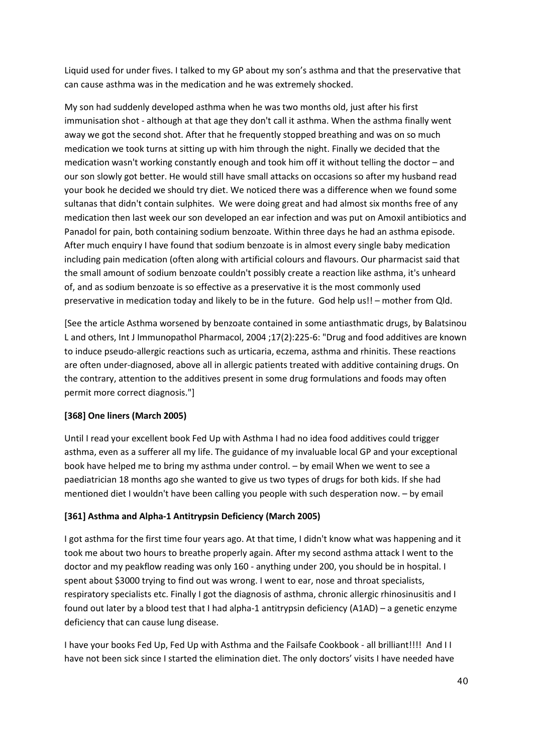Liquid used for under fives. I talked to my GP about my son's asthma and that the preservative that can cause asthma was in the medication and he was extremely shocked.

My son had suddenly developed asthma when he was two months old, just after his first immunisation shot - although at that age they don't call it asthma. When the asthma finally went away we got the second shot. After that he frequently stopped breathing and was on so much medication we took turns at sitting up with him through the night. Finally we decided that the medication wasn't working constantly enough and took him off it without telling the doctor – and our son slowly got better. He would still have small attacks on occasions so after my husband read your book he decided we should try diet. We noticed there was a difference when we found some sultanas that didn't contain sulphites. We were doing great and had almost six months free of any medication then last week our son developed an ear infection and was put on Amoxil antibiotics and Panadol for pain, both containing sodium benzoate. Within three days he had an asthma episode. After much enquiry I have found that sodium benzoate is in almost every single baby medication including pain medication (often along with artificial colours and flavours. Our pharmacist said that the small amount of sodium benzoate couldn't possibly create a reaction like asthma, it's unheard of, and as sodium benzoate is so effective as a preservative it is the most commonly used preservative in medication today and likely to be in the future. God help us!! – mother from Qld.

[See the article Asthma worsened by benzoate contained in some antiasthmatic drugs, by Balatsinou L and others, Int J Immunopathol Pharmacol, 2004 ;17(2):225-6: "Drug and food additives are known to induce pseudo-allergic reactions such as urticaria, eczema, asthma and rhinitis. These reactions are often under-diagnosed, above all in allergic patients treated with additive containing drugs. On the contrary, attention to the additives present in some drug formulations and foods may often permit more correct diagnosis."]

#### **[368] One liners (March 2005)**

Until I read your excellent book Fed Up with Asthma I had no idea food additives could trigger asthma, even as a sufferer all my life. The guidance of my invaluable local GP and your exceptional book have helped me to bring my asthma under control. – by email When we went to see a paediatrician 18 months ago she wanted to give us two types of drugs for both kids. If she had mentioned diet I wouldn't have been calling you people with such desperation now. – by email

#### **[361] Asthma and Alpha-1 Antitrypsin Deficiency (March 2005)**

I got asthma for the first time four years ago. At that time, I didn't know what was happening and it took me about two hours to breathe properly again. After my second asthma attack I went to the doctor and my peakflow reading was only 160 - anything under 200, you should be in hospital. I spent about \$3000 trying to find out was wrong. I went to ear, nose and throat specialists, respiratory specialists etc. Finally I got the diagnosis of asthma, chronic allergic rhinosinusitis and I found out later by a blood test that I had alpha-1 antitrypsin deficiency (A1AD) – a genetic enzyme deficiency that can cause lung disease.

I have your books Fed Up, Fed Up with Asthma and the Failsafe Cookbook - all brilliant!!!! And I I have not been sick since I started the elimination diet. The only doctors' visits I have needed have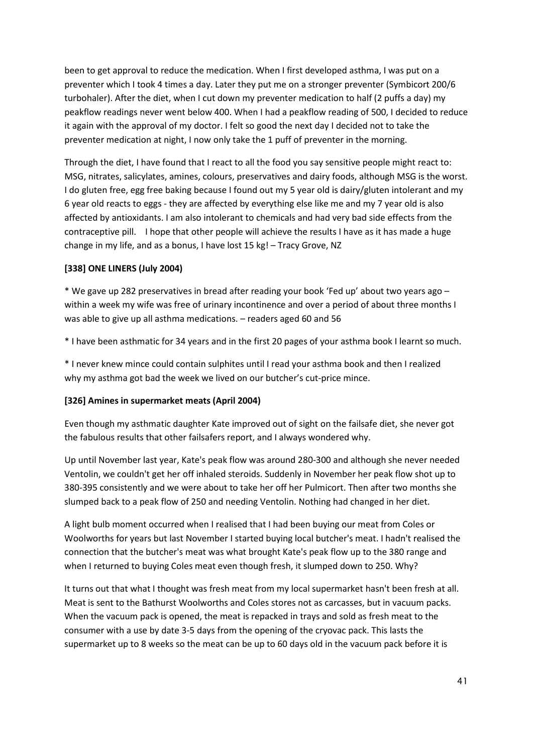been to get approval to reduce the medication. When I first developed asthma, I was put on a preventer which I took 4 times a day. Later they put me on a stronger preventer (Symbicort 200/6 turbohaler). After the diet, when I cut down my preventer medication to half (2 puffs a day) my peakflow readings never went below 400. When I had a peakflow reading of 500, I decided to reduce it again with the approval of my doctor. I felt so good the next day I decided not to take the preventer medication at night, I now only take the 1 puff of preventer in the morning.

Through the diet, I have found that I react to all the food you say sensitive people might react to: MSG, nitrates, salicylates, amines, colours, preservatives and dairy foods, although MSG is the worst. I do gluten free, egg free baking because I found out my 5 year old is dairy/gluten intolerant and my 6 year old reacts to eggs - they are affected by everything else like me and my 7 year old is also affected by antioxidants. I am also intolerant to chemicals and had very bad side effects from the contraceptive pill. I hope that other people will achieve the results I have as it has made a huge change in my life, and as a bonus, I have lost 15 kg! – Tracy Grove, NZ

#### **[338] ONE LINERS (July 2004)**

\* We gave up 282 preservatives in bread after reading your book 'Fed up' about two years ago – within a week my wife was free of urinary incontinence and over a period of about three months I was able to give up all asthma medications. – readers aged 60 and 56

\* I have been asthmatic for 34 years and in the first 20 pages of your asthma book I learnt so much.

\* I never knew mince could contain sulphites until I read your asthma book and then I realized why my asthma got bad the week we lived on our butcher's cut-price mince.

#### **[326] Amines in supermarket meats (April 2004)**

Even though my asthmatic daughter Kate improved out of sight on the failsafe diet, she never got the fabulous results that other failsafers report, and I always wondered why.

Up until November last year, Kate's peak flow was around 280-300 and although she never needed Ventolin, we couldn't get her off inhaled steroids. Suddenly in November her peak flow shot up to 380-395 consistently and we were about to take her off her Pulmicort. Then after two months she slumped back to a peak flow of 250 and needing Ventolin. Nothing had changed in her diet.

A light bulb moment occurred when I realised that I had been buying our meat from Coles or Woolworths for years but last November I started buying local butcher's meat. I hadn't realised the connection that the butcher's meat was what brought Kate's peak flow up to the 380 range and when I returned to buying Coles meat even though fresh, it slumped down to 250. Why?

It turns out that what I thought was fresh meat from my local supermarket hasn't been fresh at all. Meat is sent to the Bathurst Woolworths and Coles stores not as carcasses, but in vacuum packs. When the vacuum pack is opened, the meat is repacked in trays and sold as fresh meat to the consumer with a use by date 3-5 days from the opening of the cryovac pack. This lasts the supermarket up to 8 weeks so the meat can be up to 60 days old in the vacuum pack before it is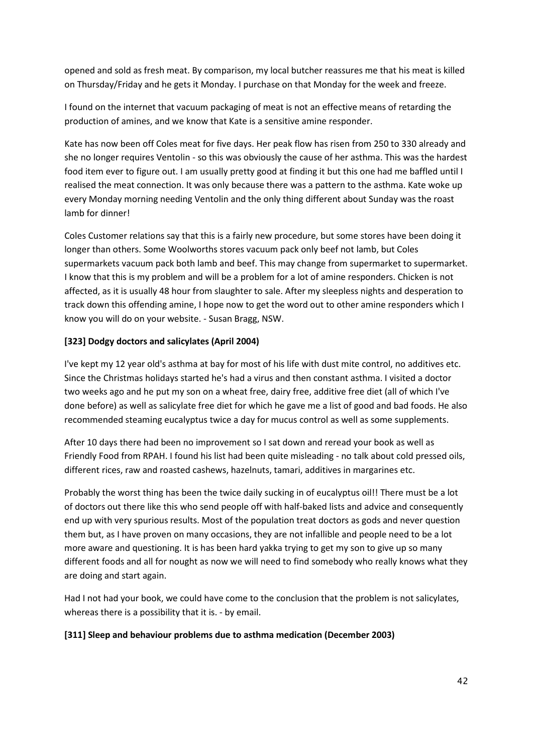opened and sold as fresh meat. By comparison, my local butcher reassures me that his meat is killed on Thursday/Friday and he gets it Monday. I purchase on that Monday for the week and freeze.

I found on the internet that vacuum packaging of meat is not an effective means of retarding the production of amines, and we know that Kate is a sensitive amine responder.

Kate has now been off Coles meat for five days. Her peak flow has risen from 250 to 330 already and she no longer requires Ventolin - so this was obviously the cause of her asthma. This was the hardest food item ever to figure out. I am usually pretty good at finding it but this one had me baffled until I realised the meat connection. It was only because there was a pattern to the asthma. Kate woke up every Monday morning needing Ventolin and the only thing different about Sunday was the roast lamb for dinner!

Coles Customer relations say that this is a fairly new procedure, but some stores have been doing it longer than others. Some Woolworths stores vacuum pack only beef not lamb, but Coles supermarkets vacuum pack both lamb and beef. This may change from supermarket to supermarket. I know that this is my problem and will be a problem for a lot of amine responders. Chicken is not affected, as it is usually 48 hour from slaughter to sale. After my sleepless nights and desperation to track down this offending amine, I hope now to get the word out to other amine responders which I know you will do on your website. - Susan Bragg, NSW.

#### **[323] Dodgy doctors and salicylates (April 2004)**

I've kept my 12 year old's asthma at bay for most of his life with dust mite control, no additives etc. Since the Christmas holidays started he's had a virus and then constant asthma. I visited a doctor two weeks ago and he put my son on a wheat free, dairy free, additive free diet (all of which I've done before) as well as salicylate free diet for which he gave me a list of good and bad foods. He also recommended steaming eucalyptus twice a day for mucus control as well as some supplements.

After 10 days there had been no improvement so I sat down and reread your book as well as Friendly Food from RPAH. I found his list had been quite misleading - no talk about cold pressed oils, different rices, raw and roasted cashews, hazelnuts, tamari, additives in margarines etc.

Probably the worst thing has been the twice daily sucking in of eucalyptus oil!! There must be a lot of doctors out there like this who send people off with half-baked lists and advice and consequently end up with very spurious results. Most of the population treat doctors as gods and never question them but, as I have proven on many occasions, they are not infallible and people need to be a lot more aware and questioning. It is has been hard yakka trying to get my son to give up so many different foods and all for nought as now we will need to find somebody who really knows what they are doing and start again.

Had I not had your book, we could have come to the conclusion that the problem is not salicylates, whereas there is a possibility that it is. - by email.

#### **[311] Sleep and behaviour problems due to asthma medication (December 2003)**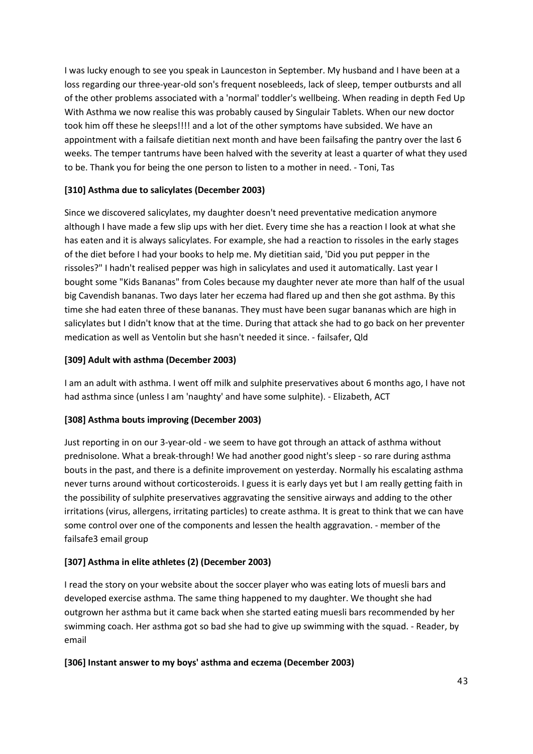I was lucky enough to see you speak in Launceston in September. My husband and I have been at a loss regarding our three-year-old son's frequent nosebleeds, lack of sleep, temper outbursts and all of the other problems associated with a 'normal' toddler's wellbeing. When reading in depth Fed Up With Asthma we now realise this was probably caused by Singulair Tablets. When our new doctor took him off these he sleeps!!!! and a lot of the other symptoms have subsided. We have an appointment with a failsafe dietitian next month and have been failsafing the pantry over the last 6 weeks. The temper tantrums have been halved with the severity at least a quarter of what they used to be. Thank you for being the one person to listen to a mother in need. - Toni, Tas

#### **[310] Asthma due to salicylates (December 2003)**

Since we discovered salicylates, my daughter doesn't need preventative medication anymore although I have made a few slip ups with her diet. Every time she has a reaction I look at what she has eaten and it is always salicylates. For example, she had a reaction to rissoles in the early stages of the diet before I had your books to help me. My dietitian said, 'Did you put pepper in the rissoles?" I hadn't realised pepper was high in salicylates and used it automatically. Last year I bought some "Kids Bananas" from Coles because my daughter never ate more than half of the usual big Cavendish bananas. Two days later her eczema had flared up and then she got asthma. By this time she had eaten three of these bananas. They must have been sugar bananas which are high in salicylates but I didn't know that at the time. During that attack she had to go back on her preventer medication as well as Ventolin but she hasn't needed it since. - failsafer, Qld

#### **[309] Adult with asthma (December 2003)**

I am an adult with asthma. I went off milk and sulphite preservatives about 6 months ago, I have not had asthma since (unless I am 'naughty' and have some sulphite). - Elizabeth, ACT

#### **[308] Asthma bouts improving (December 2003)**

Just reporting in on our 3-year-old - we seem to have got through an attack of asthma without prednisolone. What a break-through! We had another good night's sleep - so rare during asthma bouts in the past, and there is a definite improvement on yesterday. Normally his escalating asthma never turns around without corticosteroids. I guess it is early days yet but I am really getting faith in the possibility of sulphite preservatives aggravating the sensitive airways and adding to the other irritations (virus, allergens, irritating particles) to create asthma. It is great to think that we can have some control over one of the components and lessen the health aggravation. - member of the failsafe3 email group

## **[307] Asthma in elite athletes (2) (December 2003)**

I read the story on your website about the soccer player who was eating lots of muesli bars and developed exercise asthma. The same thing happened to my daughter. We thought she had outgrown her asthma but it came back when she started eating muesli bars recommended by her swimming coach. Her asthma got so bad she had to give up swimming with the squad. - Reader, by email

#### **[306] Instant answer to my boys' asthma and eczema (December 2003)**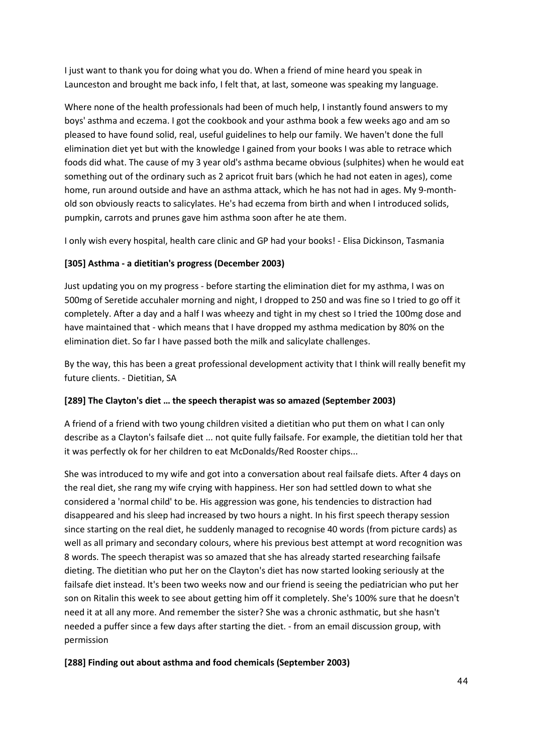I just want to thank you for doing what you do. When a friend of mine heard you speak in Launceston and brought me back info, I felt that, at last, someone was speaking my language.

Where none of the health professionals had been of much help, I instantly found answers to my boys' asthma and eczema. I got the cookbook and your asthma book a few weeks ago and am so pleased to have found solid, real, useful guidelines to help our family. We haven't done the full elimination diet yet but with the knowledge I gained from your books I was able to retrace which foods did what. The cause of my 3 year old's asthma became obvious (sulphites) when he would eat something out of the ordinary such as 2 apricot fruit bars (which he had not eaten in ages), come home, run around outside and have an asthma attack, which he has not had in ages. My 9-monthold son obviously reacts to salicylates. He's had eczema from birth and when I introduced solids, pumpkin, carrots and prunes gave him asthma soon after he ate them.

I only wish every hospital, health care clinic and GP had your books! - Elisa Dickinson, Tasmania

#### **[305] Asthma - a dietitian's progress (December 2003)**

Just updating you on my progress - before starting the elimination diet for my asthma, I was on 500mg of Seretide accuhaler morning and night, I dropped to 250 and was fine so I tried to go off it completely. After a day and a half I was wheezy and tight in my chest so I tried the 100mg dose and have maintained that - which means that I have dropped my asthma medication by 80% on the elimination diet. So far I have passed both the milk and salicylate challenges.

By the way, this has been a great professional development activity that I think will really benefit my future clients. - Dietitian, SA

#### **[289] The Clayton's diet … the speech therapist was so amazed (September 2003)**

A friend of a friend with two young children visited a dietitian who put them on what I can only describe as a Clayton's failsafe diet ... not quite fully failsafe. For example, the dietitian told her that it was perfectly ok for her children to eat McDonalds/Red Rooster chips...

She was introduced to my wife and got into a conversation about real failsafe diets. After 4 days on the real diet, she rang my wife crying with happiness. Her son had settled down to what she considered a 'normal child' to be. His aggression was gone, his tendencies to distraction had disappeared and his sleep had increased by two hours a night. In his first speech therapy session since starting on the real diet, he suddenly managed to recognise 40 words (from picture cards) as well as all primary and secondary colours, where his previous best attempt at word recognition was 8 words. The speech therapist was so amazed that she has already started researching failsafe dieting. The dietitian who put her on the Clayton's diet has now started looking seriously at the failsafe diet instead. It's been two weeks now and our friend is seeing the pediatrician who put her son on Ritalin this week to see about getting him off it completely. She's 100% sure that he doesn't need it at all any more. And remember the sister? She was a chronic asthmatic, but she hasn't needed a puffer since a few days after starting the diet. - from an email discussion group, with permission

#### **[288] Finding out about asthma and food chemicals (September 2003)**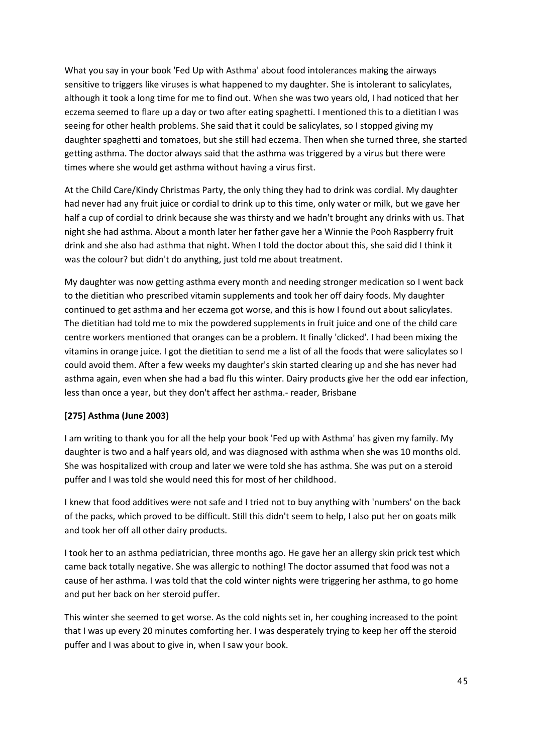What you say in your book 'Fed Up with Asthma' about food intolerances making the airways sensitive to triggers like viruses is what happened to my daughter. She is intolerant to salicylates, although it took a long time for me to find out. When she was two years old, I had noticed that her eczema seemed to flare up a day or two after eating spaghetti. I mentioned this to a dietitian I was seeing for other health problems. She said that it could be salicylates, so I stopped giving my daughter spaghetti and tomatoes, but she still had eczema. Then when she turned three, she started getting asthma. The doctor always said that the asthma was triggered by a virus but there were times where she would get asthma without having a virus first.

At the Child Care/Kindy Christmas Party, the only thing they had to drink was cordial. My daughter had never had any fruit juice or cordial to drink up to this time, only water or milk, but we gave her half a cup of cordial to drink because she was thirsty and we hadn't brought any drinks with us. That night she had asthma. About a month later her father gave her a Winnie the Pooh Raspberry fruit drink and she also had asthma that night. When I told the doctor about this, she said did I think it was the colour? but didn't do anything, just told me about treatment.

My daughter was now getting asthma every month and needing stronger medication so I went back to the dietitian who prescribed vitamin supplements and took her off dairy foods. My daughter continued to get asthma and her eczema got worse, and this is how I found out about salicylates. The dietitian had told me to mix the powdered supplements in fruit juice and one of the child care centre workers mentioned that oranges can be a problem. It finally 'clicked'. I had been mixing the vitamins in orange juice. I got the dietitian to send me a list of all the foods that were salicylates so I could avoid them. After a few weeks my daughter's skin started clearing up and she has never had asthma again, even when she had a bad flu this winter. Dairy products give her the odd ear infection, less than once a year, but they don't affect her asthma.- reader, Brisbane

#### **[275] Asthma (June 2003)**

I am writing to thank you for all the help your book 'Fed up with Asthma' has given my family. My daughter is two and a half years old, and was diagnosed with asthma when she was 10 months old. She was hospitalized with croup and later we were told she has asthma. She was put on a steroid puffer and I was told she would need this for most of her childhood.

I knew that food additives were not safe and I tried not to buy anything with 'numbers' on the back of the packs, which proved to be difficult. Still this didn't seem to help, I also put her on goats milk and took her off all other dairy products.

I took her to an asthma pediatrician, three months ago. He gave her an allergy skin prick test which came back totally negative. She was allergic to nothing! The doctor assumed that food was not a cause of her asthma. I was told that the cold winter nights were triggering her asthma, to go home and put her back on her steroid puffer.

This winter she seemed to get worse. As the cold nights set in, her coughing increased to the point that I was up every 20 minutes comforting her. I was desperately trying to keep her off the steroid puffer and I was about to give in, when I saw your book.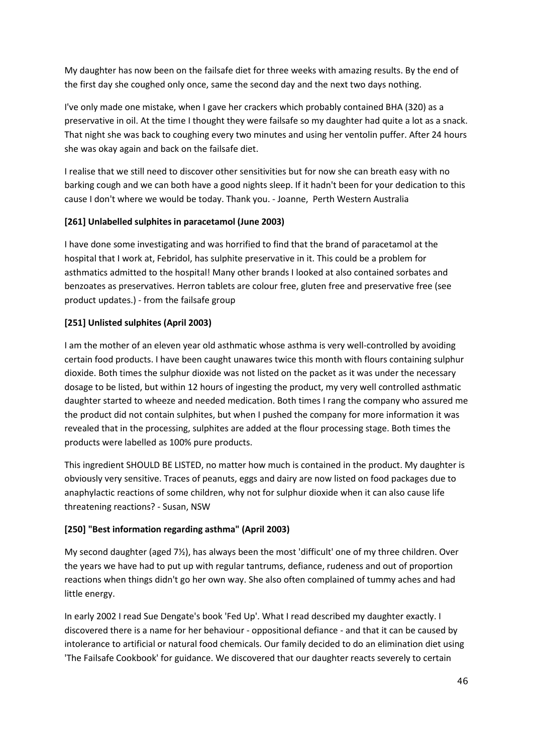My daughter has now been on the failsafe diet for three weeks with amazing results. By the end of the first day she coughed only once, same the second day and the next two days nothing.

I've only made one mistake, when I gave her crackers which probably contained BHA (320) as a preservative in oil. At the time I thought they were failsafe so my daughter had quite a lot as a snack. That night she was back to coughing every two minutes and using her ventolin puffer. After 24 hours she was okay again and back on the failsafe diet.

I realise that we still need to discover other sensitivities but for now she can breath easy with no barking cough and we can both have a good nights sleep. If it hadn't been for your dedication to this cause I don't where we would be today. Thank you. - Joanne, Perth Western Australia

#### **[261] Unlabelled sulphites in paracetamol (June 2003)**

I have done some investigating and was horrified to find that the brand of paracetamol at the hospital that I work at, Febridol, has sulphite preservative in it. This could be a problem for asthmatics admitted to the hospital! Many other brands I looked at also contained sorbates and benzoates as preservatives. Herron tablets are colour free, gluten free and preservative free (see product updates.) - from the failsafe group

#### **[251] Unlisted sulphites (April 2003)**

I am the mother of an eleven year old asthmatic whose asthma is very well-controlled by avoiding certain food products. I have been caught unawares twice this month with flours containing sulphur dioxide. Both times the sulphur dioxide was not listed on the packet as it was under the necessary dosage to be listed, but within 12 hours of ingesting the product, my very well controlled asthmatic daughter started to wheeze and needed medication. Both times I rang the company who assured me the product did not contain sulphites, but when I pushed the company for more information it was revealed that in the processing, sulphites are added at the flour processing stage. Both times the products were labelled as 100% pure products.

This ingredient SHOULD BE LISTED, no matter how much is contained in the product. My daughter is obviously very sensitive. Traces of peanuts, eggs and dairy are now listed on food packages due to anaphylactic reactions of some children, why not for sulphur dioxide when it can also cause life threatening reactions? - Susan, NSW

#### **[250] "Best information regarding asthma" (April 2003)**

My second daughter (aged 7½), has always been the most 'difficult' one of my three children. Over the years we have had to put up with regular tantrums, defiance, rudeness and out of proportion reactions when things didn't go her own way. She also often complained of tummy aches and had little energy.

In early 2002 I read Sue Dengate's book 'Fed Up'. What I read described my daughter exactly. I discovered there is a name for her behaviour - oppositional defiance - and that it can be caused by intolerance to artificial or natural food chemicals. Our family decided to do an elimination diet using 'The Failsafe Cookbook' for guidance. We discovered that our daughter reacts severely to certain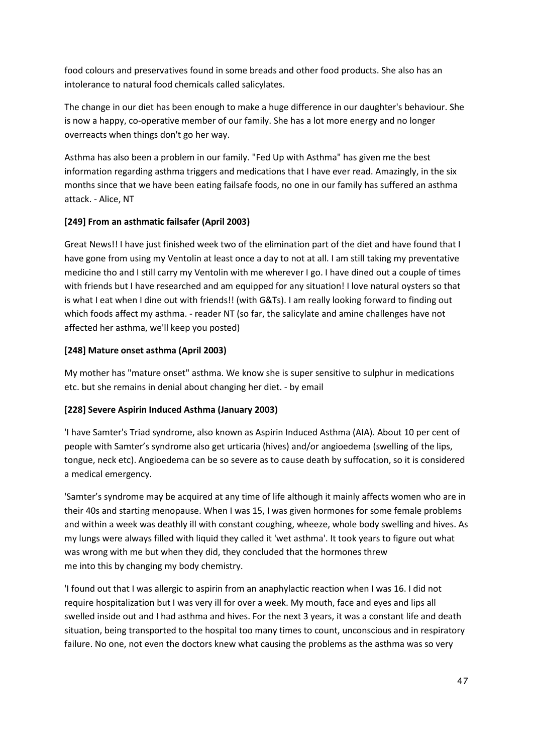food colours and preservatives found in some breads and other food products. She also has an intolerance to natural food chemicals called salicylates.

The change in our diet has been enough to make a huge difference in our daughter's behaviour. She is now a happy, co-operative member of our family. She has a lot more energy and no longer overreacts when things don't go her way.

Asthma has also been a problem in our family. "Fed Up with Asthma" has given me the best information regarding asthma triggers and medications that I have ever read. Amazingly, in the six months since that we have been eating failsafe foods, no one in our family has suffered an asthma attack. - Alice, NT

#### **[249] From an asthmatic failsafer (April 2003)**

Great News!! I have just finished week two of the elimination part of the diet and have found that I have gone from using my Ventolin at least once a day to not at all. I am still taking my preventative medicine tho and I still carry my Ventolin with me wherever I go. I have dined out a couple of times with friends but I have researched and am equipped for any situation! I love natural oysters so that is what I eat when I dine out with friends!! (with G&Ts). I am really looking forward to finding out which foods affect my asthma. - reader NT (so far, the salicylate and amine challenges have not affected her asthma, we'll keep you posted)

#### **[248] Mature onset asthma (April 2003)**

My mother has "mature onset" asthma. We know she is super sensitive to sulphur in medications etc. but she remains in denial about changing her diet. - by email

## **[228] Severe Aspirin Induced Asthma (January 2003)**

'I have Samter's Triad syndrome, also known as Aspirin Induced Asthma (AIA). About 10 per cent of people with Samter's syndrome also get urticaria (hives) and/or angioedema (swelling of the lips, tongue, neck etc). Angioedema can be so severe as to cause death by suffocation, so it is considered a medical emergency.

'Samter's syndrome may be acquired at any time of life although it mainly affects women who are in their 40s and starting menopause. When I was 15, I was given hormones for some female problems and within a week was deathly ill with constant coughing, wheeze, whole body swelling and hives. As my lungs were always filled with liquid they called it 'wet asthma'. It took years to figure out what was wrong with me but when they did, they concluded that the hormones threw me into this by changing my body chemistry.

'I found out that I was allergic to aspirin from an anaphylactic reaction when I was 16. I did not require hospitalization but I was very ill for over a week. My mouth, face and eyes and lips all swelled inside out and I had asthma and hives. For the next 3 years, it was a constant life and death situation, being transported to the hospital too many times to count, unconscious and in respiratory failure. No one, not even the doctors knew what causing the problems as the asthma was so very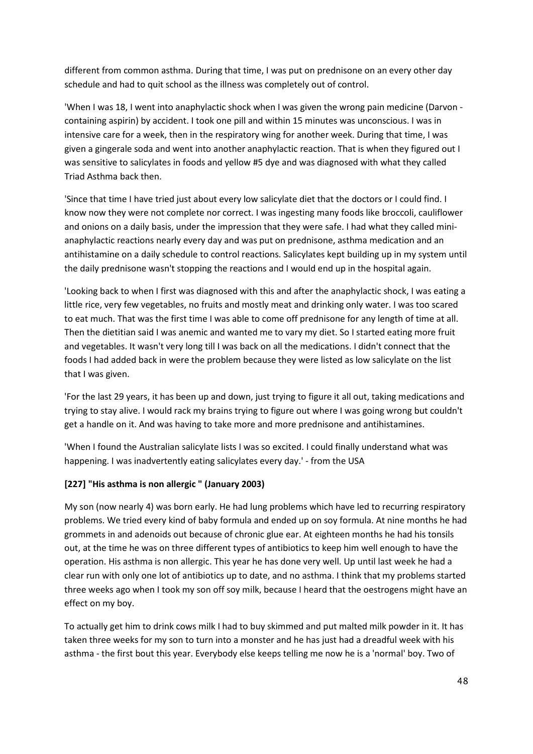different from common asthma. During that time, I was put on prednisone on an every other day schedule and had to quit school as the illness was completely out of control.

'When I was 18, I went into anaphylactic shock when I was given the wrong pain medicine (Darvon containing aspirin) by accident. I took one pill and within 15 minutes was unconscious. I was in intensive care for a week, then in the respiratory wing for another week. During that time, I was given a gingerale soda and went into another anaphylactic reaction. That is when they figured out I was sensitive to salicylates in foods and yellow #5 dye and was diagnosed with what they called Triad Asthma back then.

'Since that time I have tried just about every low salicylate diet that the doctors or I could find. I know now they were not complete nor correct. I was ingesting many foods like broccoli, cauliflower and onions on a daily basis, under the impression that they were safe. I had what they called minianaphylactic reactions nearly every day and was put on prednisone, asthma medication and an antihistamine on a daily schedule to control reactions. Salicylates kept building up in my system until the daily prednisone wasn't stopping the reactions and I would end up in the hospital again.

'Looking back to when I first was diagnosed with this and after the anaphylactic shock, I was eating a little rice, very few vegetables, no fruits and mostly meat and drinking only water. I was too scared to eat much. That was the first time I was able to come off prednisone for any length of time at all. Then the dietitian said I was anemic and wanted me to vary my diet. So I started eating more fruit and vegetables. It wasn't very long till I was back on all the medications. I didn't connect that the foods I had added back in were the problem because they were listed as low salicylate on the list that I was given.

'For the last 29 years, it has been up and down, just trying to figure it all out, taking medications and trying to stay alive. I would rack my brains trying to figure out where I was going wrong but couldn't get a handle on it. And was having to take more and more prednisone and antihistamines.

'When I found the Australian salicylate lists I was so excited. I could finally understand what was happening. I was inadvertently eating salicylates every day.' - from the USA

#### **[227] "His asthma is non allergic " (January 2003)**

My son (now nearly 4) was born early. He had lung problems which have led to recurring respiratory problems. We tried every kind of baby formula and ended up on soy formula. At nine months he had grommets in and adenoids out because of chronic glue ear. At eighteen months he had his tonsils out, at the time he was on three different types of antibiotics to keep him well enough to have the operation. His asthma is non allergic. This year he has done very well. Up until last week he had a clear run with only one lot of antibiotics up to date, and no asthma. I think that my problems started three weeks ago when I took my son off soy milk, because I heard that the oestrogens might have an effect on my boy.

To actually get him to drink cows milk I had to buy skimmed and put malted milk powder in it. It has taken three weeks for my son to turn into a monster and he has just had a dreadful week with his asthma - the first bout this year. Everybody else keeps telling me now he is a 'normal' boy. Two of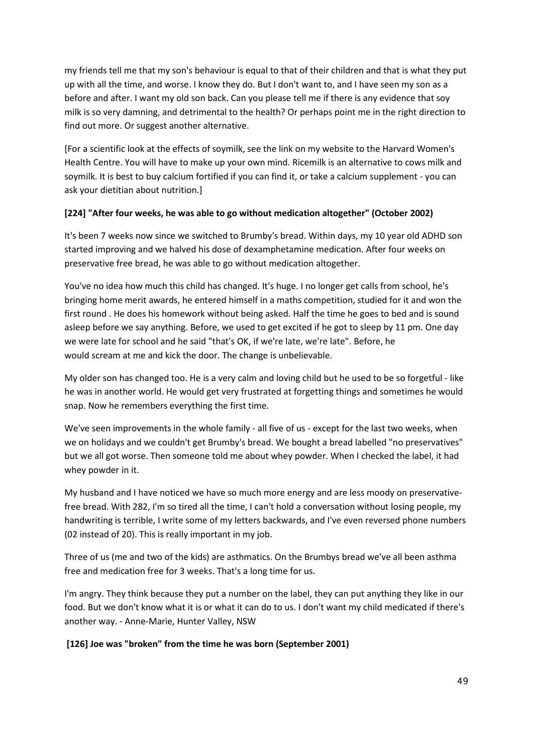my friends tell me that my son's behaviour is equal to that of their children and that is what they put up with all the time, and worse. I know they do. But I don't want to, and I have seen my son as a before and after. I want my old son back. Can you please tell me if there is any evidence that soy milk is so very damning, and detrimental to the health? Or perhaps point me in the right direction to find out more. Or suggest another alternative.

[For a scientific look at the effects of soymilk, see the link on my website to the Harvard Women's Health Centre. You will have to make up your own mind. Ricemilk is an alternative to cows milk and soymilk. It is best to buy calcium fortified if you can find it, or take a calcium supplement - you can ask your dietitian about nutrition.]

#### **[224] "After four weeks, he was able to go without medication altogether" (October 2002)**

It's been 7 weeks now since we switched to Brumby's bread. Within days, my 10 year old ADHD son started improving and we halved his dose of dexamphetamine medication. After four weeks on preservative free bread, he was able to go without medication altogether.

You've no idea how much this child has changed. It's huge. I no longer get calls from school, he's bringing home merit awards, he entered himself in a maths competition, studied for it and won the first round . He does his homework without being asked. Half the time he goes to bed and is sound asleep before we say anything. Before, we used to get excited if he got to sleep by 11 pm. One day we were late for school and he said "that's OK, if we're late, we're late". Before, he would scream at me and kick the door. The change is unbelievable.

My older son has changed too. He is a very calm and loving child but he used to be so forgetful - like he was in another world. He would get very frustrated at forgetting things and sometimes he would snap. Now he remembers everything the first time.

We've seen improvements in the whole family - all five of us - except for the last two weeks, when we on holidays and we couldn't get Brumby's bread. We bought a bread labelled "no preservatives" but we all got worse. Then someone told me about whey powder. When I checked the label, it had whey powder in it.

My husband and I have noticed we have so much more energy and are less moody on preservativefree bread. With 282, I'm so tired all the time, I can't hold a conversation without losing people, my handwriting is terrible, I write some of my letters backwards, and I've even reversed phone numbers (02 instead of 20). This is really important in my job.

Three of us (me and two of the kids) are asthmatics. On the Brumbys bread we've all been asthma free and medication free for 3 weeks. That's a long time for us.

I'm angry. They think because they put a number on the label, they can put anything they like in our food. But we don't know what it is or what it can do to us. I don't want my child medicated if there's another way. - Anne-Marie, Hunter Valley, NSW

**[126] Joe was "broken" from the time he was born (September 2001)**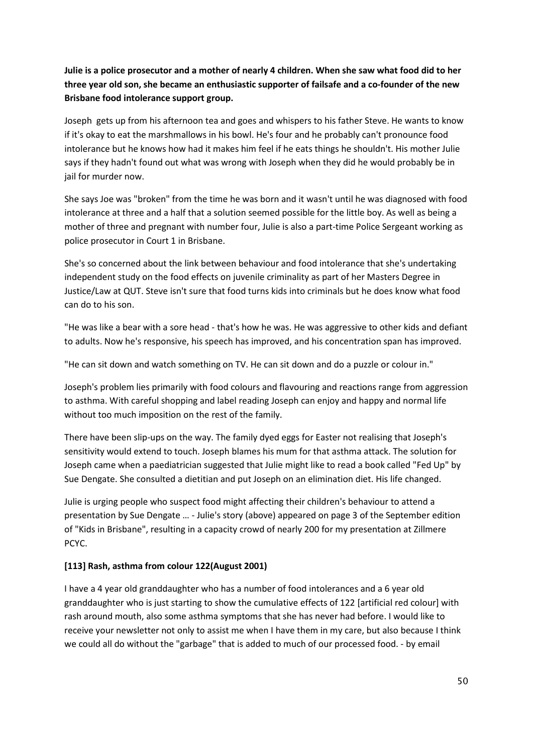**Julie is a police prosecutor and a mother of nearly 4 children. When she saw what food did to her three year old son, she became an enthusiastic supporter of failsafe and a co-founder of the new Brisbane food intolerance support group.** 

Joseph gets up from his afternoon tea and goes and whispers to his father Steve. He wants to know if it's okay to eat the marshmallows in his bowl. He's four and he probably can't pronounce food intolerance but he knows how had it makes him feel if he eats things he shouldn't. His mother Julie says if they hadn't found out what was wrong with Joseph when they did he would probably be in jail for murder now.

She says Joe was "broken" from the time he was born and it wasn't until he was diagnosed with food intolerance at three and a half that a solution seemed possible for the little boy. As well as being a mother of three and pregnant with number four, Julie is also a part-time Police Sergeant working as police prosecutor in Court 1 in Brisbane.

She's so concerned about the link between behaviour and food intolerance that she's undertaking independent study on the food effects on juvenile criminality as part of her Masters Degree in Justice/Law at QUT. Steve isn't sure that food turns kids into criminals but he does know what food can do to his son.

"He was like a bear with a sore head - that's how he was. He was aggressive to other kids and defiant to adults. Now he's responsive, his speech has improved, and his concentration span has improved.

"He can sit down and watch something on TV. He can sit down and do a puzzle or colour in."

Joseph's problem lies primarily with food colours and flavouring and reactions range from aggression to asthma. With careful shopping and label reading Joseph can enjoy and happy and normal life without too much imposition on the rest of the family.

There have been slip-ups on the way. The family dyed eggs for Easter not realising that Joseph's sensitivity would extend to touch. Joseph blames his mum for that asthma attack. The solution for Joseph came when a paediatrician suggested that Julie might like to read a book called "Fed Up" by Sue Dengate. She consulted a dietitian and put Joseph on an elimination diet. His life changed.

Julie is urging people who suspect food might affecting their children's behaviour to attend a presentation by Sue Dengate … - Julie's story (above) appeared on page 3 of the September edition of "Kids in Brisbane", resulting in a capacity crowd of nearly 200 for my presentation at Zillmere PCYC.

#### **[113] Rash, asthma from colour 122(August 2001)**

I have a 4 year old granddaughter who has a number of food intolerances and a 6 year old granddaughter who is just starting to show the cumulative effects of 122 [artificial red colour] with rash around mouth, also some asthma symptoms that she has never had before. I would like to receive your newsletter not only to assist me when I have them in my care, but also because I think we could all do without the "garbage" that is added to much of our processed food. - by email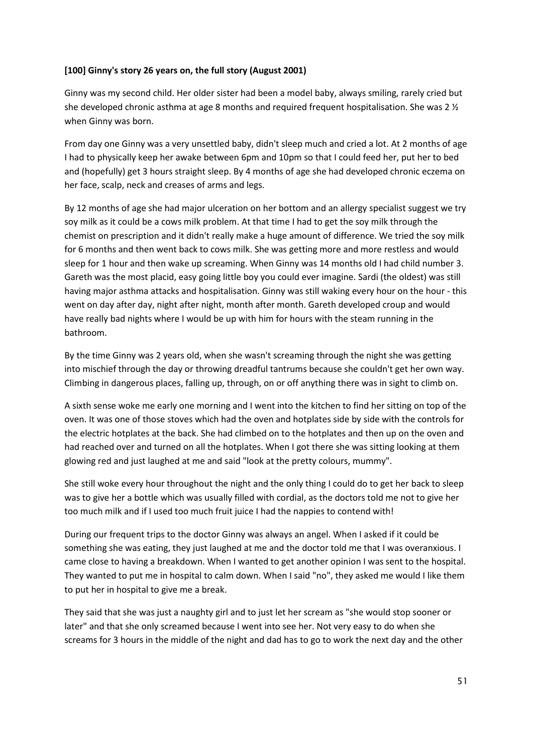#### **[100] Ginny's story 26 years on, the full story (August 2001)**

Ginny was my second child. Her older sister had been a model baby, always smiling, rarely cried but she developed chronic asthma at age 8 months and required frequent hospitalisation. She was 2 ½ when Ginny was born.

From day one Ginny was a very unsettled baby, didn't sleep much and cried a lot. At 2 months of age I had to physically keep her awake between 6pm and 10pm so that I could feed her, put her to bed and (hopefully) get 3 hours straight sleep. By 4 months of age she had developed chronic eczema on her face, scalp, neck and creases of arms and legs.

By 12 months of age she had major ulceration on her bottom and an allergy specialist suggest we try soy milk as it could be a cows milk problem. At that time I had to get the soy milk through the chemist on prescription and it didn't really make a huge amount of difference. We tried the soy milk for 6 months and then went back to cows milk. She was getting more and more restless and would sleep for 1 hour and then wake up screaming. When Ginny was 14 months old I had child number 3. Gareth was the most placid, easy going little boy you could ever imagine. Sardi (the oldest) was still having major asthma attacks and hospitalisation. Ginny was still waking every hour on the hour - this went on day after day, night after night, month after month. Gareth developed croup and would have really bad nights where I would be up with him for hours with the steam running in the bathroom.

By the time Ginny was 2 years old, when she wasn't screaming through the night she was getting into mischief through the day or throwing dreadful tantrums because she couldn't get her own way. Climbing in dangerous places, falling up, through, on or off anything there was in sight to climb on.

A sixth sense woke me early one morning and I went into the kitchen to find her sitting on top of the oven. It was one of those stoves which had the oven and hotplates side by side with the controls for the electric hotplates at the back. She had climbed on to the hotplates and then up on the oven and had reached over and turned on all the hotplates. When I got there she was sitting looking at them glowing red and just laughed at me and said "look at the pretty colours, mummy".

She still woke every hour throughout the night and the only thing I could do to get her back to sleep was to give her a bottle which was usually filled with cordial, as the doctors told me not to give her too much milk and if I used too much fruit juice I had the nappies to contend with!

During our frequent trips to the doctor Ginny was always an angel. When I asked if it could be something she was eating, they just laughed at me and the doctor told me that I was overanxious. I came close to having a breakdown. When I wanted to get another opinion I was sent to the hospital. They wanted to put me in hospital to calm down. When I said "no", they asked me would I like them to put her in hospital to give me a break.

They said that she was just a naughty girl and to just let her scream as "she would stop sooner or later" and that she only screamed because I went into see her. Not very easy to do when she screams for 3 hours in the middle of the night and dad has to go to work the next day and the other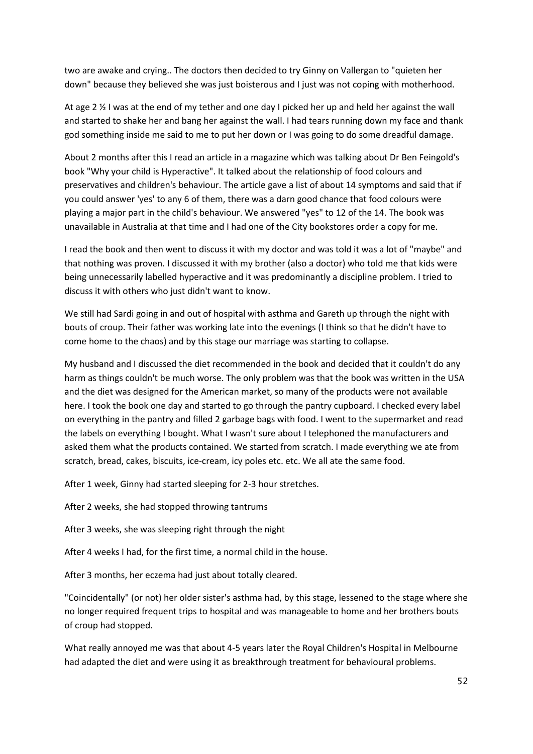two are awake and crying.. The doctors then decided to try Ginny on Vallergan to "quieten her down" because they believed she was just boisterous and I just was not coping with motherhood.

At age 2 ½ I was at the end of my tether and one day I picked her up and held her against the wall and started to shake her and bang her against the wall. I had tears running down my face and thank god something inside me said to me to put her down or I was going to do some dreadful damage.

About 2 months after this I read an article in a magazine which was talking about Dr Ben Feingold's book "Why your child is Hyperactive". It talked about the relationship of food colours and preservatives and children's behaviour. The article gave a list of about 14 symptoms and said that if you could answer 'yes' to any 6 of them, there was a darn good chance that food colours were playing a major part in the child's behaviour. We answered "yes" to 12 of the 14. The book was unavailable in Australia at that time and I had one of the City bookstores order a copy for me.

I read the book and then went to discuss it with my doctor and was told it was a lot of "maybe" and that nothing was proven. I discussed it with my brother (also a doctor) who told me that kids were being unnecessarily labelled hyperactive and it was predominantly a discipline problem. I tried to discuss it with others who just didn't want to know.

We still had Sardi going in and out of hospital with asthma and Gareth up through the night with bouts of croup. Their father was working late into the evenings (I think so that he didn't have to come home to the chaos) and by this stage our marriage was starting to collapse.

My husband and I discussed the diet recommended in the book and decided that it couldn't do any harm as things couldn't be much worse. The only problem was that the book was written in the USA and the diet was designed for the American market, so many of the products were not available here. I took the book one day and started to go through the pantry cupboard. I checked every label on everything in the pantry and filled 2 garbage bags with food. I went to the supermarket and read the labels on everything I bought. What I wasn't sure about I telephoned the manufacturers and asked them what the products contained. We started from scratch. I made everything we ate from scratch, bread, cakes, biscuits, ice-cream, icy poles etc. etc. We all ate the same food.

After 1 week, Ginny had started sleeping for 2-3 hour stretches.

After 2 weeks, she had stopped throwing tantrums

After 3 weeks, she was sleeping right through the night

After 4 weeks I had, for the first time, a normal child in the house.

After 3 months, her eczema had just about totally cleared.

"Coincidentally" (or not) her older sister's asthma had, by this stage, lessened to the stage where she no longer required frequent trips to hospital and was manageable to home and her brothers bouts of croup had stopped.

What really annoyed me was that about 4-5 years later the Royal Children's Hospital in Melbourne had adapted the diet and were using it as breakthrough treatment for behavioural problems.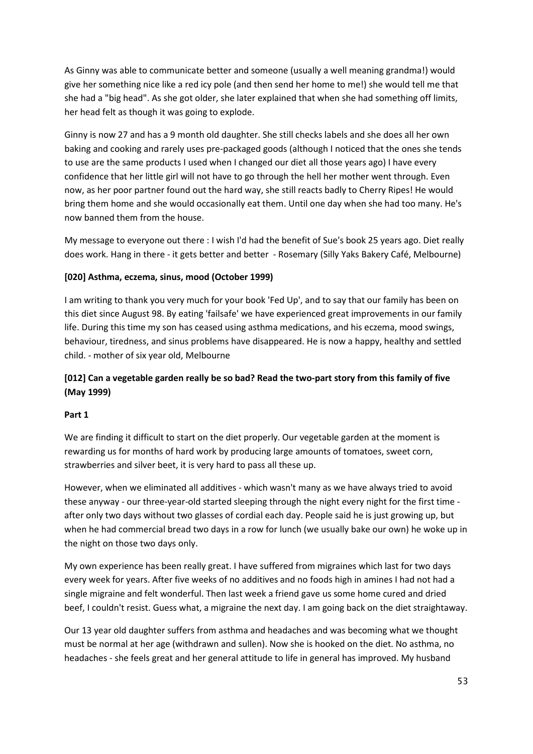As Ginny was able to communicate better and someone (usually a well meaning grandma!) would give her something nice like a red icy pole (and then send her home to me!) she would tell me that she had a "big head". As she got older, she later explained that when she had something off limits, her head felt as though it was going to explode.

Ginny is now 27 and has a 9 month old daughter. She still checks labels and she does all her own baking and cooking and rarely uses pre-packaged goods (although I noticed that the ones she tends to use are the same products I used when I changed our diet all those years ago) I have every confidence that her little girl will not have to go through the hell her mother went through. Even now, as her poor partner found out the hard way, she still reacts badly to Cherry Ripes! He would bring them home and she would occasionally eat them. Until one day when she had too many. He's now banned them from the house.

My message to everyone out there : I wish I'd had the benefit of Sue's book 25 years ago. Diet really does work. Hang in there - it gets better and better - Rosemary (Silly Yaks Bakery Café, Melbourne)

#### **[020] Asthma, eczema, sinus, mood (October 1999)**

I am writing to thank you very much for your book 'Fed Up', and to say that our family has been on this diet since August 98. By eating 'failsafe' we have experienced great improvements in our family life. During this time my son has ceased using asthma medications, and his eczema, mood swings, behaviour, tiredness, and sinus problems have disappeared. He is now a happy, healthy and settled child. - mother of six year old, Melbourne

## **[012] Can a vegetable garden really be so bad? Read the two-part story from this family of five (May 1999)**

#### **Part 1**

We are finding it difficult to start on the diet properly. Our vegetable garden at the moment is rewarding us for months of hard work by producing large amounts of tomatoes, sweet corn, strawberries and silver beet, it is very hard to pass all these up.

However, when we eliminated all additives - which wasn't many as we have always tried to avoid these anyway - our three-year-old started sleeping through the night every night for the first time after only two days without two glasses of cordial each day. People said he is just growing up, but when he had commercial bread two days in a row for lunch (we usually bake our own) he woke up in the night on those two days only.

My own experience has been really great. I have suffered from migraines which last for two days every week for years. After five weeks of no additives and no foods high in amines I had not had a single migraine and felt wonderful. Then last week a friend gave us some home cured and dried beef, I couldn't resist. Guess what, a migraine the next day. I am going back on the diet straightaway.

Our 13 year old daughter suffers from asthma and headaches and was becoming what we thought must be normal at her age (withdrawn and sullen). Now she is hooked on the diet. No asthma, no headaches - she feels great and her general attitude to life in general has improved. My husband